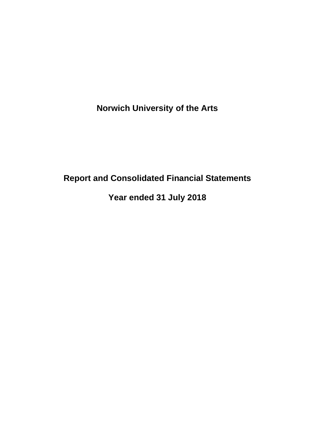# **Report and Consolidated Financial Statements**

**Year ended 31 July 2018**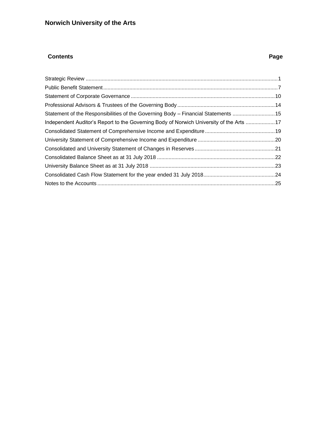## **Contents** Page **Page 2014**

| Independent Auditor's Report to the Governing Body of Norwich University of the Arts 17 |  |
|-----------------------------------------------------------------------------------------|--|
|                                                                                         |  |
|                                                                                         |  |
|                                                                                         |  |
|                                                                                         |  |
|                                                                                         |  |
|                                                                                         |  |
|                                                                                         |  |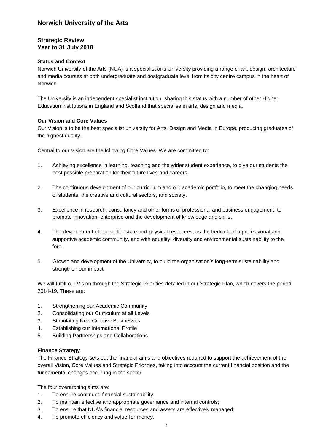## <span id="page-2-0"></span>**Strategic Review Year to 31 July 2018**

#### **Status and Context**

Norwich University of the Arts (NUA) is a specialist arts University providing a range of art, design, architecture and media courses at both undergraduate and postgraduate level from its city centre campus in the heart of Norwich.

The University is an independent specialist institution, sharing this status with a number of other Higher Education institutions in England and Scotland that specialise in arts, design and media.

#### **Our Vision and Core Values**

Our Vision is to be the best specialist university for Arts, Design and Media in Europe, producing graduates of the highest quality.

Central to our Vision are the following Core Values. We are committed to:

- 1. Achieving excellence in learning, teaching and the wider student experience, to give our students the best possible preparation for their future lives and careers.
- 2. The continuous development of our curriculum and our academic portfolio, to meet the changing needs of students, the creative and cultural sectors, and society.
- 3. Excellence in research, consultancy and other forms of professional and business engagement, to promote innovation, enterprise and the development of knowledge and skills.
- 4. The development of our staff, estate and physical resources, as the bedrock of a professional and supportive academic community, and with equality, diversity and environmental sustainability to the fore.
- 5. Growth and development of the University, to build the organisation's long-term sustainability and strengthen our impact.

We will fulfill our Vision through the Strategic Priorities detailed in our Strategic Plan, which covers the period 2014-19. These are:

- 1. Strengthening our Academic Community
- 2. Consolidating our Curriculum at all Levels
- 3. Stimulating New Creative Businesses
- 4. Establishing our International Profile
- 5. Building Partnerships and Collaborations

#### **Finance Strategy**

The Finance Strategy sets out the financial aims and objectives required to support the achievement of the overall Vision, Core Values and Strategic Priorities, taking into account the current financial position and the fundamental changes occurring in the sector.

The four overarching aims are:

- 1. To ensure continued financial sustainability;
- 2. To maintain effective and appropriate governance and internal controls;
- 3. To ensure that NUA's financial resources and assets are effectively managed;
- 4. To promote efficiency and value-for-money.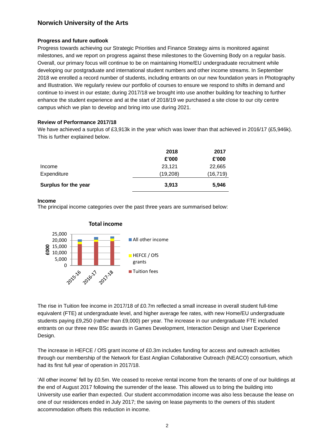#### **Progress and future outlook**

Progress towards achieving our Strategic Priorities and Finance Strategy aims is monitored against milestones, and we report on progress against these milestones to the Governing Body on a regular basis. Overall, our primary focus will continue to be on maintaining Home/EU undergraduate recruitment while developing our postgraduate and international student numbers and other income streams. In September 2018 we enrolled a record number of students, including entrants on our new foundation years in Photography and Illustration. We regularly review our portfolio of courses to ensure we respond to shifts in demand and continue to invest in our estate; during 2017/18 we brought into use another building for teaching to further enhance the student experience and at the start of 2018/19 we purchased a site close to our city centre campus which we plan to develop and bring into use during 2021.

#### **Review of Performance 2017/18**

We have achieved a surplus of £3,913k in the year which was lower than that achieved in 2016/17 (£5,946k). This is further explained below.

| Surplus for the year | 3,913    | 5,946     |
|----------------------|----------|-----------|
| Expenditure          | (19,208) | (16, 719) |
| Income               | 23,121   | 22,665    |
|                      | £'000    | £'000     |
|                      | 2018     | 2017      |

#### **Income**

The principal income categories over the past three years are summarised below:



The rise in Tuition fee income in 2017/18 of £0.7m reflected a small increase in overall student full-time equivalent (FTE) at undergraduate level, and higher average fee rates, with new Home/EU undergraduate students paying £9,250 (rather than £9,000) per year. The increase in our undergraduate FTE included entrants on our three new BSc awards in Games Development, Interaction Design and User Experience Design.

The increase in HEFCE / OfS grant income of £0.3m includes funding for access and outreach activities through our membership of the Network for East Anglian Collaborative Outreach (NEACO) consortium, which had its first full year of operation in 2017/18.

'All other income' fell by £0.5m. We ceased to receive rental income from the tenants of one of our buildings at the end of August 2017 following the surrender of the lease. This allowed us to bring the building into University use earlier than expected. Our student accommodation income was also less because the lease on one of our residences ended in July 2017; the saving on lease payments to the owners of this student accommodation offsets this reduction in income.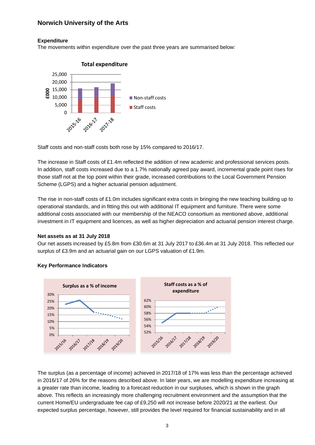#### **Expenditure**

The movements within expenditure over the past three years are summarised below:



Staff costs and non-staff costs both rose by 15% compared to 2016/17.

The increase in Staff costs of £1.4m reflected the addition of new academic and professional services posts. In addition, staff costs increased due to a 1.7% nationally agreed pay award, incremental grade point rises for those staff not at the top point within their grade, increased contributions to the Local Government Pension Scheme (LGPS) and a higher actuarial pension adjustment.

The rise in non-staff costs of £1.0m includes significant extra costs in bringing the new teaching building up to operational standards, and in fitting this out with additional IT equipment and furniture. There were some additional costs associated with our membership of the NEACO consortium as mentioned above, additional investment in IT equipment and licences, as well as higher depreciation and actuarial pension interest charge.

#### **Net assets as at 31 July 2018**

Our net assets increased by £5.8m from £30.6m at 31 July 2017 to £36.4m at 31 July 2018. This reflected our surplus of £3.9m and an actuarial gain on our LGPS valuation of £1.9m.



#### **Key Performance Indicators**

The surplus (as a percentage of income) achieved in 2017/18 of 17% was less than the percentage achieved in 2016/17 of 26% for the reasons described above. In later years, we are modelling expenditure increasing at a greater rate than income, leading to a forecast reduction in our surpluses, which is shown in the graph above. This reflects an increasingly more challenging recruitment environment and the assumption that the current Home/EU undergraduate fee cap of £9,250 will not increase before 2020/21 at the earliest. Our expected surplus percentage, however, still provides the level required for financial sustainability and in all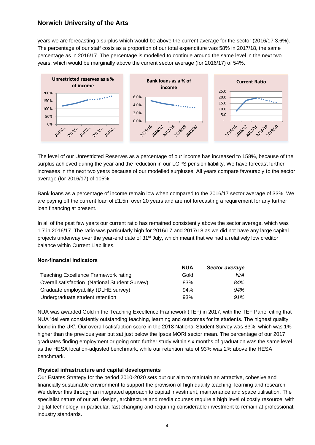years we are forecasting a surplus which would be above the current average for the sector (2016/17 3.6%). The percentage of our staff costs as a proportion of our total expenditure was 58% in 2017/18, the same percentage as in 2016/17. The percentage is modelled to continue around the same level in the next two years, which would be marginally above the current sector average (for 2016/17) of 54%.



The level of our Unrestricted Reserves as a percentage of our income has increased to 158%, because of the surplus achieved during the year and the reduction in our LGPS pension liability. We have forecast further increases in the next two years because of our modelled surpluses. All years compare favourably to the sector average (for 2016/17) of 105%.

Bank loans as a percentage of income remain low when compared to the 2016/17 sector average of 33%. We are paying off the current loan of £1.5m over 20 years and are not forecasting a requirement for any further loan financing at present.

In all of the past few years our current ratio has remained consistently above the sector average, which was 1.7 in 2016/17. The ratio was particularly high for 2016/17 and 2017/18 as we did not have any large capital projects underway over the year-end date of  $31<sup>st</sup>$  July, which meant that we had a relatively low creditor balance within Current Liabilities.

#### **Non-financial indicators**

|                                                | <b>NUA</b> | Sector average |
|------------------------------------------------|------------|----------------|
| <b>Teaching Excellence Framework rating</b>    | Gold       | N/A            |
| Overall satisfaction (National Student Survey) | 83%        | 84%            |
| Graduate employability (DLHE survey)           | 94%        | 94%            |
| Undergraduate student retention                | 93%        | 91%            |

NUA was awarded Gold in the Teaching Excellence Framework (TEF) in 2017, with the TEF Panel citing that NUA 'delivers consistently outstanding teaching, learning and outcomes for its students. The highest quality found in the UK'. Our overall satisfaction score in the 2018 National Student Survey was 83%, which was 1% higher than the previous year but sat just below the Ipsos MORI sector mean. The percentage of our 2017 graduates finding employment or going onto further study within six months of graduation was the same level as the HESA location-adjusted benchmark, while our retention rate of 93% was 2% above the HESA benchmark.

#### **Physical infrastructure and capital developments**

Our Estates Strategy for the period 2010-2020 sets out our aim to maintain an attractive, cohesive and financially sustainable environment to support the provision of high quality teaching, learning and research. We deliver this through an integrated approach to capital investment, maintenance and space utilisation. The specialist nature of our art, design, architecture and media courses require a high level of costly resource, with digital technology, in particular, fast changing and requiring considerable investment to remain at professional, industry standards.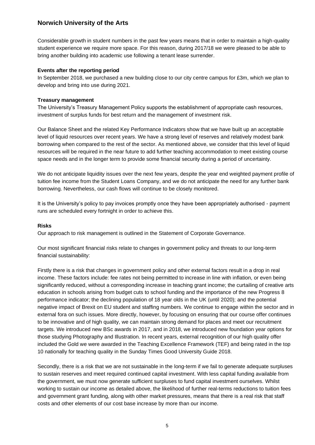Considerable growth in student numbers in the past few years means that in order to maintain a high-quality student experience we require more space. For this reason, during 2017/18 we were pleased to be able to bring another building into academic use following a tenant lease surrender.

#### **Events after the reporting period**

In September 2018, we purchased a new building close to our city centre campus for £3m, which we plan to develop and bring into use during 2021.

#### **Treasury management**

The University's Treasury Management Policy supports the establishment of appropriate cash resources, investment of surplus funds for best return and the management of investment risk.

Our Balance Sheet and the related Key Performance Indicators show that we have built up an acceptable level of liquid resources over recent years. We have a strong level of reserves and relatively modest bank borrowing when compared to the rest of the sector. As mentioned above, we consider that this level of liquid resources will be required in the near future to add further teaching accommodation to meet existing course space needs and in the longer term to provide some financial security during a period of uncertainty.

We do not anticipate liquidity issues over the next few years, despite the year end weighted payment profile of tuition fee income from the Student Loans Company, and we do not anticipate the need for any further bank borrowing. Nevertheless, our cash flows will continue to be closely monitored.

It is the University's policy to pay invoices promptly once they have been appropriately authorised - payment runs are scheduled every fortnight in order to achieve this.

#### **Risks**

Our approach to risk management is outlined in the Statement of Corporate Governance.

Our most significant financial risks relate to changes in government policy and threats to our long-term financial sustainability:

Firstly there is a risk that changes in government policy and other external factors result in a drop in real income. These factors include: fee rates not being permitted to increase in line with inflation, or even being significantly reduced, without a corresponding increase in teaching grant income; the curtailing of creative arts education in schools arising from budget cuts to school funding and the importance of the new Progress 8 performance indicator; the declining population of 18 year olds in the UK (until 2020); and the potential negative impact of Brexit on EU student and staffing numbers. We continue to engage within the sector and in external fora on such issues. More directly, however, by focusing on ensuring that our course offer continues to be innovative and of high quality, we can maintain strong demand for places and meet our recruitment targets. We introduced new BSc awards in 2017, and in 2018, we introduced new foundation year options for those studying Photography and Illustration. In recent years, external recognition of our high quality offer included the Gold we were awarded in the Teaching Excellence Framework (TEF) and being rated in the top 10 nationally for teaching quality in the Sunday Times Good University Guide 2018.

Secondly, there is a risk that we are not sustainable in the long-term if we fail to generate adequate surpluses to sustain reserves and meet required continued capital investment. With less capital funding available from the government, we must now generate sufficient surpluses to fund capital investment ourselves. Whilst working to sustain our income as detailed above, the likelihood of further real-terms reductions to tuition fees and government grant funding, along with other market pressures, means that there is a real risk that staff costs and other elements of our cost base increase by more than our income.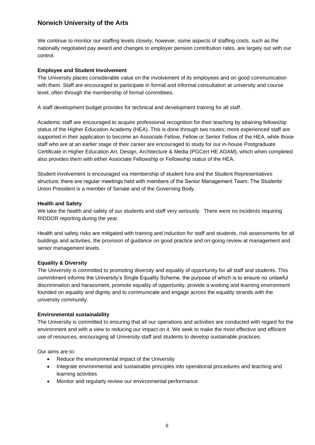We continue to monitor our staffing levels closely; however, some aspects of staffing costs, such as the nationally negotiated pay award and changes to employer pension contribution rates, are largely out with our control.

#### **Employee and Student Involvement**

The University places considerable value on the involvement of its employees and on good communication with them. Staff are encouraged to participate in formal and informal consultation at university and course level, often through the membership of formal committees.

A staff development budget provides for technical and development training for all staff.

Academic staff are encouraged to acquire professional recognition for their teaching by attaining fellowship status of the Higher Education Academy (HEA). This is done through two routes; more experienced staff are supported in their application to become an Associate Fellow, Fellow or Senior Fellow of the HEA, while those staff who are at an earlier stage of their career are encouraged to study for our in-house Postgraduate Certificate in Higher Education Art, Design, Architecture & Media (PGCert HE ADAM), which when completed also provides them with either Associate Fellowship or Fellowship status of the HEA.

Student involvement is encouraged via membership of student fora and the Student Representatives structure; there are regular meetings held with members of the Senior Management Team. The Students' Union President is a member of Senate and of the Governing Body.

#### **Health and Safety**

We take the health and safety of our students and staff very seriously. There were no incidents requiring RIDDOR reporting during the year.

Health and safety risks are mitigated with training and induction for staff and students, risk assessments for all buildings and activities, the provision of guidance on good practice and on-going review at management and senior management levels.

#### **Equality & Diversity**

The University is committed to promoting diversity and equality of opportunity for all staff and students. This commitment informs the University's Single Equality Scheme, the purpose of which is to ensure no unlawful discrimination and harassment, promote equality of opportunity, provide a working and learning environment founded on equality and dignity and to communicate and engage across the equality strands with the university community.

#### **Environmental sustainability**

The University is committed to ensuring that all our operations and activities are conducted with regard for the environment and with a view to reducing our impact on it. We seek to make the most effective and efficient use of resources, encouraging all University staff and students to develop sustainable practices.

Our aims are to:

- Reduce the environmental impact of the University
- Integrate environmental and sustainable principles into operational procedures and teaching and learning activities
- Monitor and regularly review our environmental performance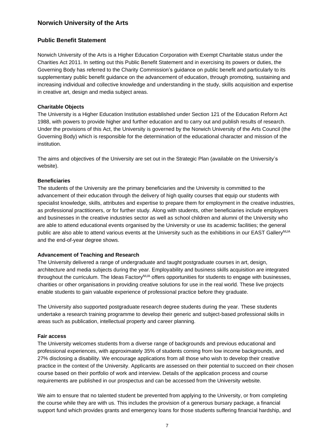### <span id="page-8-0"></span>**Public Benefit Statement**

Norwich University of the Arts is a Higher Education Corporation with Exempt Charitable status under the Charities Act 2011. In setting out this Public Benefit Statement and in exercising its powers or duties, the Governing Body has referred to the Charity Commission's guidance on public benefit and particularly to its supplementary public benefit guidance on the advancement of education, through promoting, sustaining and increasing individual and collective knowledge and understanding in the study, skills acquisition and expertise in creative art, design and media subject areas.

#### **Charitable Objects**

The University is a Higher Education Institution established under Section 121 of the Education Reform Act 1988, with powers to provide higher and further education and to carry out and publish results of research. Under the provisions of this Act, the University is governed by the Norwich University of the Arts Council (the Governing Body) which is responsible for the determination of the educational character and mission of the institution.

The aims and objectives of the University are set out in the Strategic Plan (available on the University's website).

#### **Beneficiaries**

The students of the University are the primary beneficiaries and the University is committed to the advancement of their education through the delivery of high quality courses that equip our students with specialist knowledge, skills, attributes and expertise to prepare them for employment in the creative industries, as professional practitioners, or for further study. Along with students, other beneficiaries include employers and businesses in the creative industries sector as well as school children and alumni of the University who are able to attend educational events organised by the University or use its academic facilities; the general public are also able to attend various events at the University such as the exhibitions in our EAST Gallery<sup>NUA</sup> and the end-of-year degree shows.

#### **Advancement of Teaching and Research**

The University delivered a range of undergraduate and taught postgraduate courses in art, design, architecture and media subjects during the year. Employability and business skills acquisition are integrated throughout the curriculum. The Ideas Factory<sup>NUA</sup> offers opportunities for students to engage with businesses, charities or other organisations in providing creative solutions for use in the real world. These live projects enable students to gain valuable experience of professional practice before they graduate.

The University also supported postgraduate research degree students during the year. These students undertake a research training programme to develop their generic and subject-based professional skills in areas such as publication, intellectual property and career planning.

#### **Fair access**

The University welcomes students from a diverse range of backgrounds and previous educational and professional experiences, with approximately 35% of students coming from low income backgrounds, and 27% disclosing a disability. We encourage applications from all those who wish to develop their creative practice in the context of the University. Applicants are assessed on their potential to succeed on their chosen course based on their portfolio of work and interview. Details of the application process and course requirements are published in our prospectus and can be accessed from the University website.

We aim to ensure that no talented student be prevented from applying to the University, or from completing the course while they are with us. This includes the provision of a generous bursary package, a financial support fund which provides grants and emergency loans for those students suffering financial hardship, and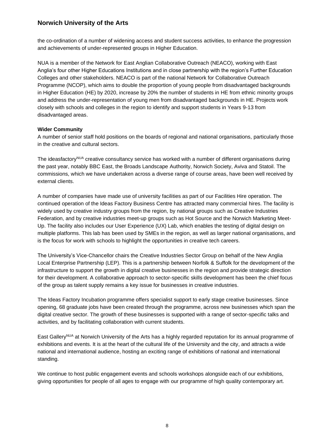the co-ordination of a number of widening access and student success activities, to enhance the progression and achievements of under-represented groups in Higher Education.

NUA is a member of the Network for East Anglian Collaborative Outreach (NEACO), working with East Anglia's four other Higher Educations Institutions and in close partnership with the region's Further Education Colleges and other stakeholders. NEACO is part of the national Network for Collaborative Outreach Programme (NCOP), which aims to double the proportion of young people from disadvantaged backgrounds in Higher Education (HE) by 2020, increase by 20% the number of students in HE from ethnic minority groups and address the under-representation of young men from disadvantaged backgrounds in HE. Projects work closely with schools and colleges in the region to identify and support students in Years 9-13 from disadvantaged areas.

#### **Wider Community**

A number of senior staff hold positions on the boards of regional and national organisations, particularly those in the creative and cultural sectors.

The ideasfactory<sup>NUA</sup> creative consultancy service has worked with a number of different organisations during the past year, notably BBC East, the Broads Landscape Authority, Norwich Society, Aviva and Statoil. The commissions, which we have undertaken across a diverse range of course areas, have been well received by external clients.

A number of companies have made use of university facilities as part of our Facilities Hire operation. The continued operation of the Ideas Factory Business Centre has attracted many commercial hires. The facility is widely used by creative industry groups from the region, by national groups such as Creative Industries Federation, and by creative industries meet-up groups such as Hot Source and the Norwich Marketing Meet-Up. The facility also includes our User Experience (UX) Lab, which enables the testing of digital design on multiple platforms. This lab has been used by SMEs in the region, as well as larger national organisations, and is the focus for work with schools to highlight the opportunities in creative tech careers.

The University's Vice-Chancellor chairs the Creative Industries Sector Group on behalf of the New Anglia Local Enterprise Partnership (LEP). This is a partnership between Norfolk & Suffolk for the development of the infrastructure to support the growth in digital creative businesses in the region and provide strategic direction for their development. A collaborative approach to sector-specific skills development has been the chief focus of the group as talent supply remains a key issue for businesses in creative industries.

The Ideas Factory Incubation programme offers specialist support to early stage creative businesses. Since opening, 68 graduate jobs have been created through the programme, across new businesses which span the digital creative sector. The growth of these businesses is supported with a range of sector-specific talks and activities, and by facilitating collaboration with current students.

East Gallery<sup>NUA</sup> at Norwich University of the Arts has a highly regarded reputation for its annual programme of exhibitions and events. It is at the heart of the cultural life of the University and the city, and attracts a wide national and international audience, hosting an exciting range of exhibitions of national and international standing.

We continue to host public engagement events and schools workshops alongside each of our exhibitions, giving opportunities for people of all ages to engage with our programme of high quality contemporary art.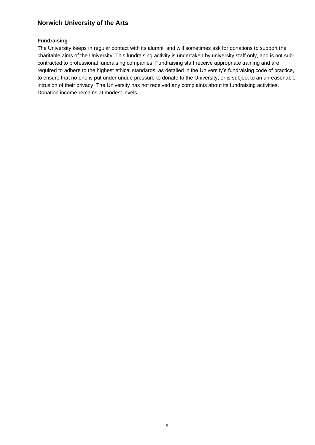#### **Fundraising**

The University keeps in regular contact with its alumni, and will sometimes ask for donations to support the charitable aims of the University. This fundraising activity is undertaken by university staff only, and is not subcontracted to professional fundraising companies. Fundraising staff receive appropriate training and are required to adhere to the highest ethical standards, as detailed in the University's fundraising code of practice, to ensure that no one is put under undue pressure to donate to the University, or is subject to an unreasonable intrusion of their privacy. The University has not received any complaints about its fundraising activities. Donation income remains at modest levels.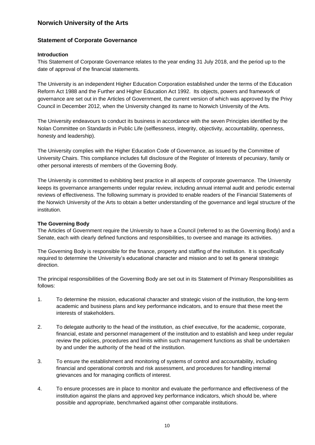#### <span id="page-11-0"></span>**Statement of Corporate Governance**

#### **Introduction**

This Statement of Corporate Governance relates to the year ending 31 July 2018, and the period up to the date of approval of the financial statements.

The University is an independent Higher Education Corporation established under the terms of the Education Reform Act 1988 and the Further and Higher Education Act 1992. Its objects, powers and framework of governance are set out in the Articles of Government, the current version of which was approved by the Privy Council in December 2012, when the University changed its name to Norwich University of the Arts.

The University endeavours to conduct its business in accordance with the seven Principles identified by the Nolan Committee on Standards in Public Life (selflessness, integrity, objectivity, accountability, openness, honesty and leadership).

The University complies with the Higher Education Code of Governance, as issued by the Committee of University Chairs. This compliance includes full disclosure of the Register of Interests of pecuniary, family or other personal interests of members of the Governing Body.

The University is committed to exhibiting best practice in all aspects of corporate governance. The University keeps its governance arrangements under regular review, including annual internal audit and periodic external reviews of effectiveness. The following summary is provided to enable readers of the Financial Statements of the Norwich University of the Arts to obtain a better understanding of the governance and legal structure of the institution.

#### **The Governing Body**

The Articles of Government require the University to have a Council (referred to as the Governing Body) and a Senate, each with clearly defined functions and responsibilities, to oversee and manage its activities.

The Governing Body is responsible for the finance, property and staffing of the institution. It is specifically required to determine the University's educational character and mission and to set its general strategic direction.

The principal responsibilities of the Governing Body are set out in its Statement of Primary Responsibilities as follows:

- 1. To determine the mission, educational character and strategic vision of the institution, the long-term academic and business plans and key performance indicators, and to ensure that these meet the interests of stakeholders.
- 2. To delegate authority to the head of the institution, as chief executive, for the academic, corporate, financial, estate and personnel management of the institution and to establish and keep under regular review the policies, procedures and limits within such management functions as shall be undertaken by and under the authority of the head of the institution.
- 3. To ensure the establishment and monitoring of systems of control and accountability, including financial and operational controls and risk assessment, and procedures for handling internal grievances and for managing conflicts of interest.
- 4. To ensure processes are in place to monitor and evaluate the performance and effectiveness of the institution against the plans and approved key performance indicators, which should be, where possible and appropriate, benchmarked against other comparable institutions.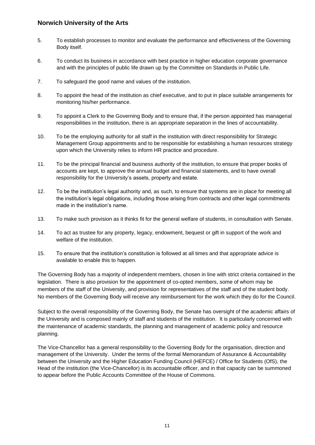- 5. To establish processes to monitor and evaluate the performance and effectiveness of the Governing Body itself.
- 6. To conduct its business in accordance with best practice in higher education corporate governance and with the principles of public life drawn up by the Committee on Standards in Public Life.
- 7. To safeguard the good name and values of the institution.
- 8. To appoint the head of the institution as chief executive, and to put in place suitable arrangements for monitoring his/her performance.
- 9. To appoint a Clerk to the Governing Body and to ensure that, if the person appointed has managerial responsibilities in the institution, there is an appropriate separation in the lines of accountability.
- 10. To be the employing authority for all staff in the institution with direct responsibility for Strategic Management Group appointments and to be responsible for establishing a human resources strategy upon which the University relies to inform HR practice and procedure.
- 11. To be the principal financial and business authority of the institution, to ensure that proper books of accounts are kept, to approve the annual budget and financial statements, and to have overall responsibility for the University's assets, property and estate.
- 12. To be the institution's legal authority and, as such, to ensure that systems are in place for meeting all the institution's legal obligations, including those arising from contracts and other legal commitments made in the institution's name.
- 13. To make such provision as it thinks fit for the general welfare of students, in consultation with Senate.
- 14. To act as trustee for any property, legacy, endowment, bequest or gift in support of the work and welfare of the institution.
- 15. To ensure that the institution's constitution is followed at all times and that appropriate advice is available to enable this to happen.

The Governing Body has a majority of independent members, chosen in line with strict criteria contained in the legislation. There is also provision for the appointment of co-opted members, some of whom may be members of the staff of the University, and provision for representatives of the staff and of the student body. No members of the Governing Body will receive any reimbursement for the work which they do for the Council.

Subject to the overall responsibility of the Governing Body, the Senate has oversight of the academic affairs of the University and is composed mainly of staff and students of the institution. It is particularly concerned with the maintenance of academic standards, the planning and management of academic policy and resource planning.

The Vice-Chancellor has a general responsibility to the Governing Body for the organisation, direction and management of the University. Under the terms of the formal Memorandum of Assurance & Accountability between the University and the Higher Education Funding Council (HEFCE) / Office for Students (OfS), the Head of the institution (the Vice-Chancellor) is its accountable officer, and in that capacity can be summoned to appear before the Public Accounts Committee of the House of Commons.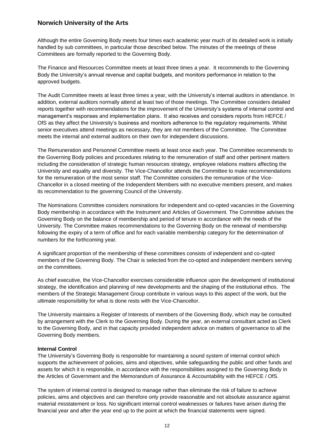Although the entire Governing Body meets four times each academic year much of its detailed work is initially handled by sub committees, in particular those described below. The minutes of the meetings of these Committees are formally reported to the Governing Body.

The Finance and Resources Committee meets at least three times a year. It recommends to the Governing Body the University's annual revenue and capital budgets, and monitors performance in relation to the approved budgets.

management's responses and implementation plans. It also receives and considers reports from HEFCE / The Audit Committee meets at least three times a year, with the University's internal auditors in attendance. In addition, external auditors normally attend at least two of those meetings. The Committee considers detailed reports together with recommendations for the improvement of the University's systems of internal control and OfS as they affect the University's business and monitors adherence to the regulatory requirements. Whilst senior executives attend meetings as necessary, they are not members of the Committee. The Committee meets the internal and external auditors on their own for independent discussions.

The Remuneration and Personnel Committee meets at least once each year. The Committee recommends to the Governing Body policies and procedures relating to the remuneration of staff and other pertinent matters including the consideration of strategic human resources strategy, employee relations matters affecting the University and equality and diversity. The Vice-Chancellor attends the Committee to make recommendations for the remuneration of the most senior staff. The Committee considers the remuneration of the Vice-Chancellor in a closed meeting of the Independent Members with no executive members present, and makes its recommendation to the governing Council of the University.

The Nominations Committee considers nominations for independent and co-opted vacancies in the Governing Body membership in accordance with the Instrument and Articles of Government. The Committee advises the Governing Body on the balance of membership and period of tenure in accordance with the needs of the University. The Committee makes recommendations to the Governing Body on the renewal of membership following the expiry of a term of office and for each variable membership category for the determination of numbers for the forthcoming year.

A significant proportion of the membership of these committees consists of independent and co-opted members of the Governing Body. The Chair is selected from the co-opted and independent members serving on the committees.

As chief executive, the Vice-Chancellor exercises considerable influence upon the development of institutional strategy, the identification and planning of new developments and the shaping of the institutional ethos. The members of the Strategic Management Group contribute in various ways to this aspect of the work, but the ultimate responsibility for what is done rests with the Vice-Chancellor.

The University maintains a Register of Interests of members of the Governing Body, which may be consulted by arrangement with the Clerk to the Governing Body. During the year, an external consultant acted as Clerk to the Governing Body, and in that capacity provided independent advice on matters of governance to all the Governing Body members.

#### **Internal Control**

The University's Governing Body is responsible for maintaining a sound system of internal control which supports the achievement of policies, aims and objectives, while safeguarding the public and other funds and assets for which it is responsible, in accordance with the responsibilities assigned to the Governing Body in the Articles of Government and the Memorandum of Assurance & Accountability with the HEFCE / OfS.

The system of internal control is designed to manage rather than eliminate the risk of failure to achieve policies, aims and objectives and can therefore only provide reasonable and not absolute assurance against material misstatement or loss. No significant internal control weaknesses or failures have arisen during the financial year and after the year end up to the point at which the financial statements were signed.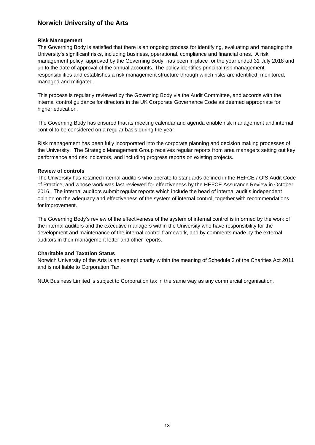#### **Risk Management**

The Governing Body is satisfied that there is an ongoing process for identifying, evaluating and managing the University's significant risks, including business, operational, compliance and financial ones. A risk management policy, approved by the Governing Body, has been in place for the year ended 31 July 2018 and up to the date of approval of the annual accounts. The policy identifies principal risk management responsibilities and establishes a risk management structure through which risks are identified, monitored, managed and mitigated.

This process is regularly reviewed by the Governing Body via the Audit Committee, and accords with the internal control guidance for directors in the UK Corporate Governance Code as deemed appropriate for higher education.

The Governing Body has ensured that its meeting calendar and agenda enable risk management and internal control to be considered on a regular basis during the year.

Risk management has been fully incorporated into the corporate planning and decision making processes of the University. The Strategic Management Group receives regular reports from area managers setting out key performance and risk indicators, and including progress reports on existing projects.

#### **Review of controls**

The University has retained internal auditors who operate to standards defined in the HEFCE / OfS Audit Code of Practice, and whose work was last reviewed for effectiveness by the HEFCE Assurance Review in October 2016. The internal auditors submit regular reports which include the head of internal audit's independent opinion on the adequacy and effectiveness of the system of internal control, together with recommendations for improvement.

The Governing Body's review of the effectiveness of the system of internal control is informed by the work of the internal auditors and the executive managers within the University who have responsibility for the development and maintenance of the internal control framework, and by comments made by the external auditors in their management letter and other reports.

#### **Charitable and Taxation Status**

Norwich University of the Arts is an exempt charity within the meaning of Schedule 3 of the Charities Act 2011 and is not liable to Corporation Tax.

NUA Business Limited is subject to Corporation tax in the same way as any commercial organisation.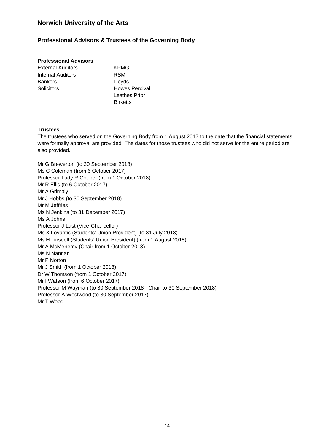### **Professional Advisors & Trustees of the Governing Body**

#### **Professional Advisors**

- External Auditors **KPMG** Internal Auditors **RSM** Bankers Lloyds Solicitors **Howes Percival**
- Leathes Prior **Birketts**

#### **Trustees**

The trustees who served on the Governing Body from 1 August 2017 to the date that the financial statements were formally approval are provided. The dates for those trustees who did not serve for the entire period are also provided.

Mr G Brewerton (to 30 September 2018) Ms C Coleman (from 6 October 2017) Professor Lady R Cooper (from 1 October 2018) Mr R Ellis (to 6 October 2017) Mr A Grimbly Mr J Hobbs (to 30 September 2018) Mr M Jeffries Ms N Jenkins (to 31 December 2017) Ms A Johns Professor J Last (Vice-Chancellor) Ms X Levantis (Students' Union President) (to 31 July 2018) Ms H Linsdell (Students' Union President) (from 1 August 2018) Mr A McMenemy (Chair from 1 October 2018) Ms N Nannar Mr P Norton Mr J Smith (from 1 October 2018) Dr W Thomson (from 1 October 2017) Mr I Watson (from 6 October 2017) Professor M Wayman (to 30 September 2018 - Chair to 30 September 2018) Professor A Westwood (to 30 September 2017) Mr T Wood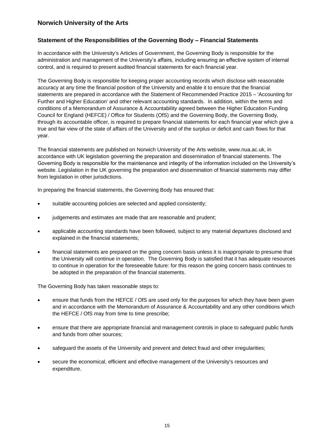#### <span id="page-16-0"></span>**Statement of the Responsibilities of the Governing Body – Financial Statements**

In accordance with the University's Articles of Government, the Governing Body is responsible for the administration and management of the University's affairs, including ensuring an effective system of internal control, and is required to present audited financial statements for each financial year.

The Governing Body is responsible for keeping proper accounting records which disclose with reasonable accuracy at any time the financial position of the University and enable it to ensure that the financial statements are prepared in accordance with the Statement of Recommended Practice 2015 – 'Accounting for Further and Higher Education' and other relevant accounting standards. In addition, within the terms and conditions of a Memorandum of Assurance & Accountability agreed between the Higher Education Funding Council for England (HEFCE) / Office for Students (OfS) and the Governing Body, the Governing Body, through its accountable officer, is required to prepare financial statements for each financial year which give a true and fair view of the state of affairs of the University and of the surplus or deficit and cash flows for that year.

The financial statements are published on Norwich University of the Arts website,<www.nua.ac.uk>, in accordance with UK legislation governing the preparation and dissemination of financial statements. The Governing Body is responsible for the maintenance and integrity of the information included on the University's website. Legislation in the UK governing the preparation and dissemination of financial statements may differ from legislation in other jurisdictions.

In preparing the financial statements, the Governing Body has ensured that:

- suitable accounting policies are selected and applied consistently;
- judgements and estimates are made that are reasonable and prudent;
- applicable accounting standards have been followed, subject to any material departures disclosed and explained in the financial statements;
- financial statements are prepared on the going concern basis unless it is inappropriate to presume that the University will continue in operation. The Governing Body is satisfied that it has adequate resources to continue in operation for the foreseeable future: for this reason the going concern basis continues to be adopted in the preparation of the financial statements.

The Governing Body has taken reasonable steps to:

- ensure that funds from the HEFCE / OfS are used only for the purposes for which they have been given and in accordance with the Memorandum of Assurance & Accountability and any other conditions which the HEFCE / OfS may from time to time prescribe;
- ensure that there are appropriate financial and management controls in place to safeguard public funds and funds from other sources;
- safeguard the assets of the University and prevent and detect fraud and other irregularities;
- secure the economical, efficient and effective management of the University's resources and expenditure.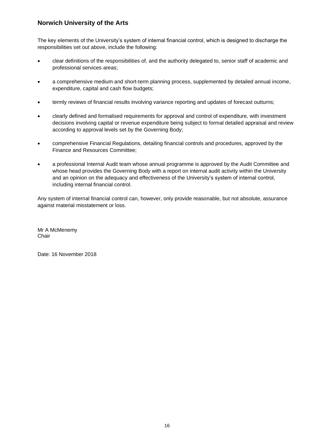The key elements of the University's system of internal financial control, which is designed to discharge the responsibilities set out above, include the following:

- clear definitions of the responsibilities of, and the authority delegated to, senior staff of academic and professional services areas;
- a comprehensive medium and short-term planning process, supplemented by detailed annual income, expenditure, capital and cash flow budgets;
- termly reviews of financial results involving variance reporting and updates of forecast outturns;
- clearly defined and formalised requirements for approval and control of expenditure, with investment decisions involving capital or revenue expenditure being subject to formal detailed appraisal and review according to approval levels set by the Governing Body;
- comprehensive Financial Regulations, detailing financial controls and procedures, approved by the Finance and Resources Committee;
- a professional Internal Audit team whose annual programme is approved by the Audit Committee and whose head provides the Governing Body with a report on internal audit activity within the University and an opinion on the adequacy and effectiveness of the University's system of internal control, including internal financial control.

Any system of internal financial control can, however, only provide reasonable, but not absolute, assurance against material misstatement or loss.

Mr A McMenemy **Chair** 

Date: 16 November 2018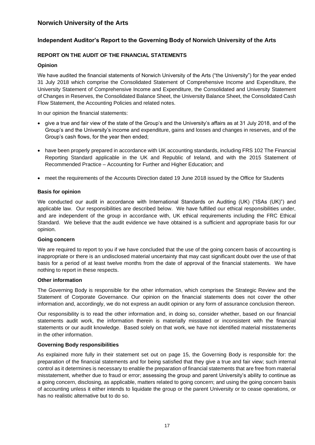## <span id="page-18-0"></span>**Independent Auditor's Report to the Governing Body of Norwich University of the Arts**

#### **REPORT ON THE AUDIT OF THE FINANCIAL STATEMENTS**

#### **Opinion**

 We have audited the financial statements of Norwich University of the Arts ("the University") for the year ended 31 July 2018 which comprise the Consolidated Statement of Comprehensive Income and Expenditure, the University Statement of Comprehensive Income and Expenditure, the Consolidated and University Statement of Changes in Reserves, the Consolidated Balance Sheet, the University Balance Sheet, the Consolidated Cash Flow Statement, the Accounting Policies and related notes.

In our opinion the financial statements:

- give a true and fair view of the state of the Group's and the University's affairs as at 31 July 2018, and of the Group's and the University's income and expenditure, gains and losses and changes in reserves, and of the Group's cash flows, for the year then ended;
- have been properly prepared in accordance with UK accounting standards, including FRS 102 The Financial Reporting Standard applicable in the UK and Republic of Ireland, and with the 2015 Statement of Recommended Practice – Accounting for Further and Higher Education; and
- meet the requirements of the Accounts Direction dated 19 June 2018 issued by the Office for Students

#### **Basis for opinion**

 We conducted our audit in accordance with International Standards on Auditing (UK) ("ISAs (UK)") and applicable law. Our responsibilities are described below. We have fulfilled our ethical responsibilities under, and are independent of the group in accordance with, UK ethical requirements including the FRC Ethical Standard. We believe that the audit evidence we have obtained is a sufficient and appropriate basis for our opinion.

#### **Going concern**

We are required to report to you if we have concluded that the use of the going concern basis of accounting is inappropriate or there is an undisclosed material uncertainty that may cast significant doubt over the use of that basis for a period of at least twelve months from the date of approval of the financial statements. We have nothing to report in these respects.

#### **Other information**

The Governing Body is responsible for the other information, which comprises the Strategic Review and the Statement of Corporate Governance. Our opinion on the financial statements does not cover the other information and, accordingly, we do not express an audit opinion or any form of assurance conclusion thereon.

Our responsibility is to read the other information and, in doing so, consider whether, based on our financial statements audit work, the information therein is materially misstated or inconsistent with the financial statements or our audit knowledge. Based solely on that work, we have not identified material misstatements in the other information.

#### **Governing Body responsibilities**

 misstatement, whether due to fraud or error; assessing the group and parent University's ability to continue as As explained more fully in their statement set out on page 15, the Governing Body is responsible for: the preparation of the financial statements and for being satisfied that they give a true and fair view; such internal control as it determines is necessary to enable the preparation of financial statements that are free from material a going concern, disclosing, as applicable, matters related to going concern; and using the going concern basis of accounting unless it either intends to liquidate the group or the parent University or to cease operations, or has no realistic alternative but to do so.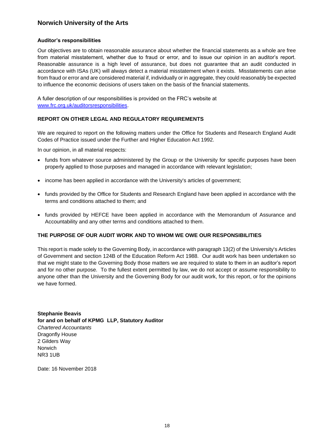#### **Auditor's responsibilities**

 from material misstatement, whether due to fraud or error, and to issue our opinion in an auditor's report. Our objectives are to obtain reasonable assurance about whether the financial statements as a whole are free Reasonable assurance is a high level of assurance, but does not guarantee that an audit conducted in accordance with ISAs (UK) will always detect a material misstatement when it exists. Misstatements can arise from fraud or error and are considered material if, individually or in aggregate, they could reasonably be expected to influence the economic decisions of users taken on the basis of the financial statements.

A fuller description of our responsibilities is provided on the FRC's website at [www.frc.org.uk/auditorsresponsibilities.](http://www.frc.org.uk/auditorsresponsibilities)

#### **REPORT ON OTHER LEGAL AND REGULATORY REQUIREMENTS**

We are required to report on the following matters under the Office for Students and Research England Audit Codes of Practice issued under the Further and Higher Education Act 1992.

In our opinion, in all material respects:

- funds from whatever source administered by the Group or the University for specific purposes have been properly applied to those purposes and managed in accordance with relevant legislation;
- income has been applied in accordance with the University's articles of government;
- funds provided by the Office for Students and Research England have been applied in accordance with the terms and conditions attached to them; and
- funds provided by HEFCE have been applied in accordance with the Memorandum of Assurance and Accountability and any other terms and conditions attached to them.

#### **THE PURPOSE OF OUR AUDIT WORK AND TO WHOM WE OWE OUR RESPONSIBILITIES**

This report is made solely to the Governing Body, in accordance with paragraph 13(2) of the University's Articles of Government and section 124B of the Education Reform Act 1988. Our audit work has been undertaken so that we might state to the Governing Body those matters we are required to state to them in an auditor's report and for no other purpose. To the fullest extent permitted by law, we do not accept or assume responsibility to anyone other than the University and the Governing Body for our audit work, for this report, or for the opinions we have formed.

**Stephanie Beavis for and on behalf of KPMG LLP, Statutory Auditor**  *Chartered Accountants*  Dragonfly House 2 Gilders Way Norwich NR3 1UB

Date: 16 November 2018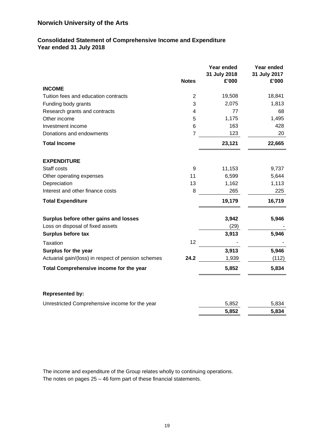## <span id="page-20-0"></span>**Consolidated Statement of Comprehensive Income and Expenditure Year ended 31 July 2018**

|                                                     | <b>Notes</b>   | Year ended<br>31 July 2018<br>£'000 | Year ended<br>31 July 2017<br>£'000 |
|-----------------------------------------------------|----------------|-------------------------------------|-------------------------------------|
| <b>INCOME</b>                                       |                |                                     |                                     |
| Tuition fees and education contracts                | 2              | 19,508                              | 18,841                              |
| Funding body grants                                 | 3              | 2,075                               | 1,813                               |
| Research grants and contracts                       | 4              | 77                                  | 68                                  |
| Other income                                        | 5              | 1,175                               | 1,495                               |
| Investment income                                   | 6              | 163                                 | 428                                 |
| Donations and endowments                            | $\overline{7}$ | 123                                 | 20                                  |
| <b>Total Income</b>                                 |                | 23,121                              | 22,665                              |
| <b>EXPENDITURE</b>                                  |                |                                     |                                     |
| Staff costs                                         | 9              | 11,153                              | 9,737                               |
| Other operating expenses                            | 11             | 6,599                               | 5,644                               |
| Depreciation                                        | 13             | 1,162                               | 1,113                               |
| Interest and other finance costs                    | 8              | 265                                 | 225                                 |
| <b>Total Expenditure</b>                            |                | 19,179                              | 16,719                              |
| Surplus before other gains and losses               |                | 3,942                               | 5,946                               |
| Loss on disposal of fixed assets                    |                | (29)                                |                                     |
| Surplus before tax                                  |                | 3,913                               | 5,946                               |
| <b>Taxation</b>                                     | 12             |                                     |                                     |
| Surplus for the year                                |                | 3,913                               | 5,946                               |
| Actuarial gain/(loss) in respect of pension schemes | 24.2           | 1,939                               | (112)                               |
| Total Comprehensive income for the year             |                | 5,852                               | 5,834                               |
| <b>Represented by:</b>                              |                |                                     |                                     |
| Unrestricted Comprehensive income for the year      |                | 5,852                               | 5,834                               |
|                                                     |                | 5,852                               | 5,834                               |

The income and expenditure of the Group relates wholly to continuing operations. The notes on pages 25 – 46 form part of these financial statements.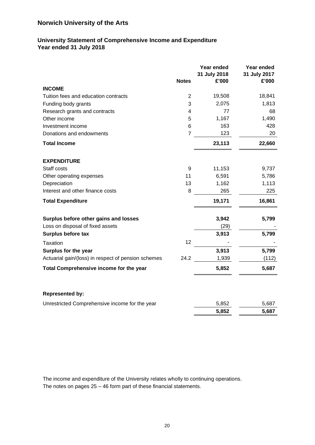## <span id="page-21-0"></span>**University Statement of Comprehensive Income and Expenditure Year ended 31 July 2018**

|                                                     |                | Year ended<br>31 July 2018 | Year ended<br>31 July 2017 |
|-----------------------------------------------------|----------------|----------------------------|----------------------------|
| <b>INCOME</b>                                       | <b>Notes</b>   | £'000                      | £'000                      |
| Tuition fees and education contracts                | $\overline{2}$ | 19,508                     | 18,841                     |
| Funding body grants                                 | 3              | 2,075                      | 1,813                      |
| Research grants and contracts                       | 4              | 77                         | 68                         |
| Other income                                        | 5              | 1,167                      | 1,490                      |
| Investment income                                   | 6              | 163                        | 428                        |
| Donations and endowments                            | $\overline{7}$ | 123                        | 20                         |
| <b>Total Income</b>                                 |                | 23,113                     | 22,660                     |
| <b>EXPENDITURE</b>                                  |                |                            |                            |
| Staff costs                                         | 9              | 11,153                     | 9,737                      |
| Other operating expenses                            | 11             | 6,591                      | 5,786                      |
| Depreciation                                        | 13             | 1,162                      | 1,113                      |
| Interest and other finance costs                    | 8              | 265                        | 225                        |
| <b>Total Expenditure</b>                            |                | 19,171                     | 16,861                     |
| Surplus before other gains and losses               |                | 3,942                      | 5,799                      |
| Loss on disposal of fixed assets                    |                | (29)                       |                            |
| Surplus before tax                                  |                | 3,913                      | 5,799                      |
| <b>Taxation</b>                                     | 12             |                            |                            |
| Surplus for the year                                |                | 3,913                      | 5,799                      |
| Actuarial gain/(loss) in respect of pension schemes | 24.2           | 1,939                      | (112)                      |
| Total Comprehensive income for the year             |                | 5,852                      | 5,687                      |
|                                                     |                |                            |                            |
| <b>Represented by:</b>                              |                |                            |                            |
| Unrestricted Comprehensive income for the year      |                | 5,852                      | 5,687                      |
|                                                     |                | 5,852                      | 5,687                      |

The income and expenditure of the University relates wholly to continuing operations. The notes on pages 25 – 46 form part of these financial statements.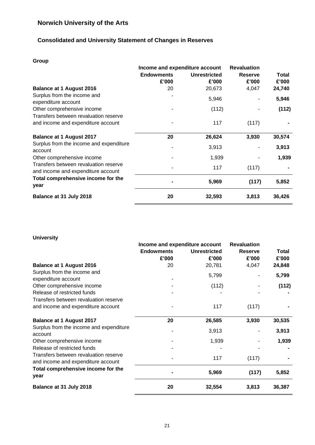## **Consolidated and University Statement of Changes in Reserves**

## **Group**

|                                                                             | Income and expenditure account | <b>Revaluation</b>           |                         |                       |
|-----------------------------------------------------------------------------|--------------------------------|------------------------------|-------------------------|-----------------------|
|                                                                             | <b>Endowments</b><br>£'000     | <b>Unrestricted</b><br>£'000 | <b>Reserve</b><br>£'000 | <b>Total</b><br>£'000 |
| <b>Balance at 1 August 2016</b>                                             | 20                             | 20,673                       | 4,047                   | 24,740                |
| Surplus from the income and<br>expenditure account                          |                                | 5,946                        |                         | 5,946                 |
| Other comprehensive income                                                  |                                | (112)                        |                         | (112)                 |
| Transfers between revaluation reserve<br>and income and expenditure account |                                | 117                          | (117)                   |                       |
| <b>Balance at 1 August 2017</b>                                             | 20                             | 26,624                       | 3,930                   | 30,574                |
| Surplus from the income and expenditure<br>account                          |                                | 3,913                        |                         | 3,913                 |
| Other comprehensive income                                                  |                                | 1,939                        |                         | 1,939                 |
| Transfers between revaluation reserve<br>and income and expenditure account |                                | 117                          | (117)                   |                       |
| Total comprehensive income for the<br>year                                  |                                | 5,969                        | (117)                   | 5,852                 |
| Balance at 31 July 2018                                                     | 20                             | 32,593                       | 3,813                   | 36,426                |

## **University**

|                                                                             | Income and expenditure account | <b>Revaluation</b>  |                |              |  |
|-----------------------------------------------------------------------------|--------------------------------|---------------------|----------------|--------------|--|
|                                                                             | <b>Endowments</b>              | <b>Unrestricted</b> | <b>Reserve</b> | <b>Total</b> |  |
|                                                                             | £'000                          | £'000               | £'000          | £'000        |  |
| <b>Balance at 1 August 2016</b>                                             | 20                             | 20,781              | 4,047          | 24,848       |  |
| Surplus from the income and                                                 |                                | 5,799               |                | 5,799        |  |
| expenditure account                                                         |                                |                     |                |              |  |
| Other comprehensive income                                                  |                                | (112)               |                | (112)        |  |
| Release of restricted funds                                                 |                                |                     |                |              |  |
| Transfers between revaluation reserve                                       |                                |                     |                |              |  |
| and income and expenditure account                                          |                                | 117                 | (117)          |              |  |
| <b>Balance at 1 August 2017</b>                                             | 20                             | 26,585              | 3,930          | 30,535       |  |
| Surplus from the income and expenditure<br>account                          |                                | 3,913               |                | 3,913        |  |
| Other comprehensive income                                                  |                                | 1,939               |                | 1,939        |  |
| Release of restricted funds                                                 |                                |                     |                |              |  |
| Transfers between revaluation reserve<br>and income and expenditure account |                                | 117                 | (117)          |              |  |
| Total comprehensive income for the<br>year                                  |                                | 5,969               | (117)          | 5,852        |  |
| Balance at 31 July 2018                                                     | 20                             | 32,554              | 3,813          | 36,387       |  |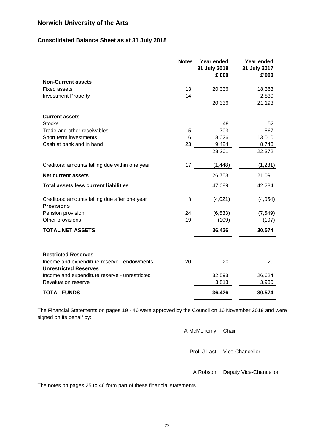## **Consolidated Balance Sheet as at 31 July 2018**

|                                                                             | <b>Notes</b> | Year ended<br>31 July 2018<br>£'000 | Year ended<br>31 July 2017<br>£'000 |
|-----------------------------------------------------------------------------|--------------|-------------------------------------|-------------------------------------|
| <b>Non-Current assets</b>                                                   |              |                                     |                                     |
| <b>Fixed assets</b>                                                         | 13           | 20,336                              | 18,363                              |
| <b>Investment Property</b>                                                  | 14           |                                     | 2,830                               |
|                                                                             |              | 20,336                              | 21,193                              |
| <b>Current assets</b>                                                       |              |                                     |                                     |
| <b>Stocks</b>                                                               |              | 48                                  | 52                                  |
| Trade and other receivables                                                 | 15           | 703                                 | 567                                 |
| Short term investments                                                      | 16           | 18,026                              | 13,010                              |
| Cash at bank and in hand                                                    | 23           | 9,424                               | 8,743                               |
|                                                                             |              | 28,201                              | 22,372                              |
| Creditors: amounts falling due within one year                              | 17           | (1, 448)                            | (1,281)                             |
| <b>Net current assets</b>                                                   |              | 26,753                              | 21,091                              |
| <b>Total assets less current liabilities</b>                                |              | 47,089                              | 42,284                              |
| Creditors: amounts falling due after one year<br><b>Provisions</b>          | 18           | (4,021)                             | (4,054)                             |
| Pension provision                                                           | 24           | (6, 533)                            | (7, 549)                            |
| Other provisions                                                            | 19           | (109)                               | (107)                               |
| <b>TOTAL NET ASSETS</b>                                                     |              | 36,426                              | 30,574                              |
| <b>Restricted Reserves</b>                                                  |              |                                     |                                     |
| Income and expenditure reserve - endowments<br><b>Unrestricted Reserves</b> | 20           | 20                                  | 20                                  |
| Income and expenditure reserve - unrestricted                               |              | 32,593                              | 26,624                              |
| <b>Revaluation reserve</b>                                                  |              | 3,813                               | 3,930                               |
| <b>TOTAL FUNDS</b>                                                          |              | 36,426                              | 30,574                              |

The Financial Statements on pages 19 - 46 were approved by the Council on 16 November 2018 and were signed on its behalf by:

| A McMenemy Chair |                                 |
|------------------|---------------------------------|
|                  | Prof. J Last Vice-Chancellor    |
|                  | A Robson Deputy Vice-Chancellor |

The notes on pages 25 to 46 form part of these financial statements.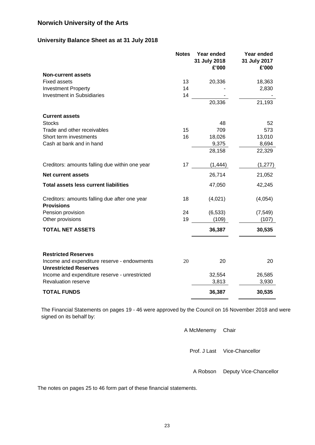## **University Balance Sheet as at 31 July 2018**

|                                                                             | <b>Notes</b> | Year ended<br>31 July 2018<br>£'000 | Year ended<br>31 July 2017<br>£'000 |
|-----------------------------------------------------------------------------|--------------|-------------------------------------|-------------------------------------|
| <b>Non-current assets</b>                                                   |              |                                     |                                     |
| <b>Fixed assets</b>                                                         | 13           | 20,336                              | 18,363                              |
| <b>Investment Property</b>                                                  | 14           |                                     | 2,830                               |
| <b>Investment in Subsidiaries</b>                                           | 14           |                                     |                                     |
|                                                                             |              | 20,336                              | 21,193                              |
| <b>Current assets</b>                                                       |              |                                     |                                     |
| <b>Stocks</b>                                                               |              | 48                                  | 52                                  |
| Trade and other receivables                                                 | 15           | 709                                 | 573                                 |
| Short term investments                                                      | 16           | 18,026                              | 13,010                              |
| Cash at bank and in hand                                                    |              | 9,375                               | 8,694                               |
|                                                                             |              | 28,158                              | 22,329                              |
| Creditors: amounts falling due within one year                              | 17           | (1, 444)                            | (1, 277)                            |
| <b>Net current assets</b>                                                   |              | 26,714                              | 21,052                              |
| <b>Total assets less current liabilities</b>                                |              | 47,050                              | 42,245                              |
| Creditors: amounts falling due after one year<br><b>Provisions</b>          | 18           | (4,021)                             | (4,054)                             |
| Pension provision                                                           | 24           | (6, 533)                            | (7, 549)                            |
| Other provisions                                                            | 19           | (109)                               | (107)                               |
| <b>TOTAL NET ASSETS</b>                                                     |              | 36,387                              | 30,535                              |
| <b>Restricted Reserves</b>                                                  |              |                                     |                                     |
| Income and expenditure reserve - endowments<br><b>Unrestricted Reserves</b> | 20           | 20                                  | 20                                  |
| Income and expenditure reserve - unrestricted                               |              | 32,554                              | 26,585                              |
| <b>Revaluation reserve</b>                                                  |              | 3,813                               | 3,930                               |
| <b>TOTAL FUNDS</b>                                                          |              | 36,387                              | 30,535                              |

The Financial Statements on pages 19 - 46 were approved by the Council on 16 November 2018 and were signed on its behalf by:

> A McMenemy Chair Prof. J Last Vice-Chancellor A Robson Deputy Vice-Chancellor

The notes on pages 25 to 46 form part of these financial statements.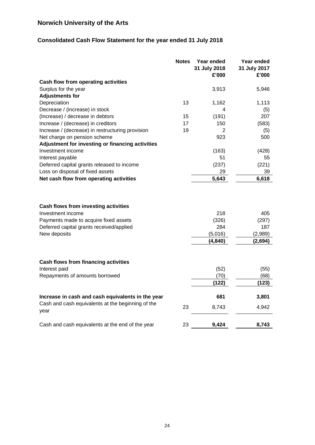## **Consolidated Cash Flow Statement for the year ended 31 July 2018**

|                                                           | <b>Notes</b> | Year ended<br>31 July 2018<br>£'000 | Year ended<br>31 July 2017<br>£'000 |
|-----------------------------------------------------------|--------------|-------------------------------------|-------------------------------------|
| Cash flow from operating activities                       |              |                                     |                                     |
| Surplus for the year                                      |              | 3,913                               | 5,946                               |
| <b>Adjustments for</b>                                    |              |                                     |                                     |
| Depreciation                                              | 13           | 1,162                               | 1,113                               |
| Decrease / (increase) in stock                            |              | 4                                   | (5)                                 |
| (Increase) / decrease in debtors                          | 15           | (191)                               | 207                                 |
| Increase / (decrease) in creditors                        | 17           | 150                                 | (583)                               |
| Increase / (decrease) in restructuring provision          | 19           | 2                                   | (5)                                 |
| Net charge on pension scheme                              |              | 923                                 | 500                                 |
| Adjustment for investing or financing activities          |              |                                     |                                     |
| Investment income                                         |              | (163)                               | (428)                               |
| Interest payable                                          |              | 51                                  | 55                                  |
| Deferred capital grants released to income                |              | (237)                               | (221)                               |
| Loss on disposal of fixed assets                          |              | 29                                  | 39                                  |
| Net cash flow from operating activities                   |              | 5,643                               | 6,618                               |
| Cash flows from investing activities                      |              |                                     |                                     |
| Investment income                                         |              | 218                                 | 405                                 |
| Payments made to acquire fixed assets                     |              | (326)                               | (297)                               |
| Deferred capital grants received/applied                  |              | 284                                 | 187                                 |
| New deposits                                              |              | (5,016)                             | (2,989)                             |
|                                                           |              | (4, 840)                            | (2,694)                             |
| <b>Cash flows from financing activities</b>               |              |                                     |                                     |
| Interest paid                                             |              | (52)                                | (55)                                |
| Repayments of amounts borrowed                            |              | (70)                                | (68)                                |
|                                                           |              | (122)                               | (123)                               |
| Increase in cash and cash equivalents in the year         |              | 681                                 | 3,801                               |
| Cash and cash equivalents at the beginning of the<br>year | 23           | 8,743                               | 4,942                               |
| Cash and cash equivalents at the end of the year          | 23           | 9,424                               | 8.743                               |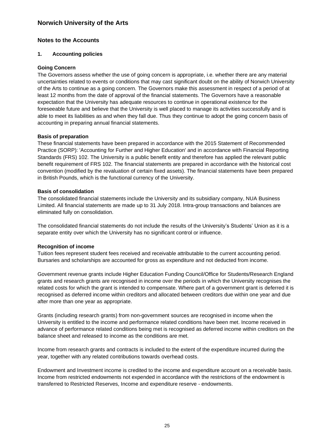#### <span id="page-26-0"></span>**Notes to the Accounts**

#### <span id="page-26-1"></span>**1. Accounting policies**

#### **Going Concern**

The Governors assess whether the use of going concern is appropriate, i.e. whether there are any material uncertainties related to events or conditions that may cast significant doubt on the ability of Norwich University of the Arts to continue as a going concern. The Governors make this assessment in respect of a period of at least 12 months from the date of approval of the financial statements. The Governors have a reasonable expectation that the University has adequate resources to continue in operational existence for the foreseeable future and believe that the University is well placed to manage its activities successfully and is able to meet its liabilities as and when they fall due. Thus they continue to adopt the going concern basis of accounting in preparing annual financial statements.

#### **Basis of preparation**

These financial statements have been prepared in accordance with the 2015 Statement of Recommended Practice (SORP): 'Accounting for Further and Higher Education' and in accordance with Financial Reporting Standards (FRS) 102. The University is a public benefit entity and therefore has applied the relevant public benefit requirement of FRS 102. The financial statements are prepared in accordance with the historical cost convention (modified by the revaluation of certain fixed assets). The financial statements have been prepared in British Pounds, which is the functional currency of the University.

#### **Basis of consolidation**

The consolidated financial statements include the University and its subsidiary company, NUA Business Limited. All financial statements are made up to 31 July 2018. Intra-group transactions and balances are eliminated fully on consolidation.

The consolidated financial statements do not include the results of the University's Students' Union as it is a separate entity over which the University has no significant control or influence.

#### **Recognition of income**

Tuition fees represent student fees received and receivable attributable to the current accounting period. Bursaries and scholarships are accounted for gross as expenditure and not deducted from income.

Government revenue grants include Higher Education Funding Council/Office for Students/Research England grants and research grants are recognised in income over the periods in which the University recognises the related costs for which the grant is intended to compensate. Where part of a government grant is deferred it is recognised as deferred income within creditors and allocated between creditors due within one year and due after more than one year as appropriate.

Grants (including research grants) from non-government sources are recognised in income when the University is entitled to the income and performance related conditions have been met. Income received in advance of performance related conditions being met is recognised as deferred income within creditors on the balance sheet and released to income as the conditions are met.

Income from research grants and contracts is included to the extent of the expenditure incurred during the year, together with any related contributions towards overhead costs.

Endowment and Investment income is credited to the income and expenditure account on a receivable basis. Income from restricted endowments not expended in accordance with the restrictions of the endowment is transferred to Restricted Reserves, Income and expenditure reserve - endowments.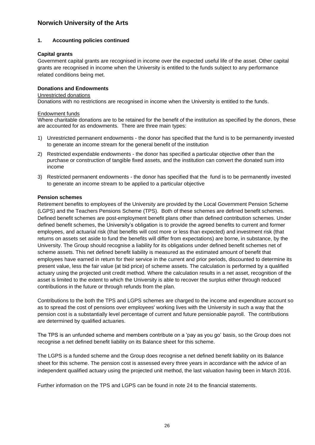#### **1. Accounting policies continued**

#### **Capital grants**

Government capital grants are recognised in income over the expected useful life of the asset. Other capital grants are recognised in income when the University is entitled to the funds subject to any performance related conditions being met.

#### **Donations and Endowments**

#### Unrestricted donations

Donations with no restrictions are recognised in income when the University is entitled to the funds.

#### Endowment funds

Where charitable donations are to be retained for the benefit of the institution as specified by the donors, these are accounted for as endowments. There are three main types:

- 1) Unrestricted permanent endowments the donor has specified that the fund is to be permanently invested to generate an income stream for the general benefit of the institution
- 2) Restricted expendable endowments the donor has specified a particular objective other than the purchase or construction of tangible fixed assets, and the institution can convert the donated sum into income
- 3) Restricted permanent endowments the donor has specified that the fund is to be permanently invested to generate an income stream to be applied to a particular objective

#### **Pension schemes**

Retirement benefits to employees of the University are provided by the Local Government Pension Scheme (LGPS) and the Teachers Pensions Scheme (TPS). Both of these schemes are defined benefit schemes. Defined benefit schemes are post-employment benefit plans other than defined contribution schemes. Under defined benefit schemes, the University's obligation is to provide the agreed benefits to current and former employees, and actuarial risk (that benefits will cost more or less than expected) and investment risk (that returns on assets set aside to fund the benefits will differ from expectations) are borne, in substance, by the University. The Group should recognise a liability for its obligations under defined benefit schemes net of scheme assets. This net defined benefit liability is measured as the estimated amount of benefit that employees have earned in return for their service in the current and prior periods, discounted to determine its present value, less the fair value (at bid price) of scheme assets. The calculation is performed by a qualified actuary using the projected unit credit method. Where the calculation results in a net asset, recognition of the asset is limited to the extent to which the University is able to recover the surplus either through reduced contributions in the future or through refunds from the plan.

Contributions to the both the TPS and LGPS schemes are charged to the income and expenditure account so as to spread the cost of pensions over employees' working lives with the University in such a way that the pension cost is a substantially level percentage of current and future pensionable payroll. The contributions are determined by qualified actuaries.

The TPS is an unfunded scheme and members contribute on a 'pay as you go' basis, so the Group does not recognise a net defined benefit liability on its Balance sheet for this scheme.

The LGPS is a funded scheme and the Group does recognise a net defined benefit liability on its Balance sheet for this scheme. The pension cost is assessed every three years in accordance with the advice of an independent qualified actuary using the projected unit method, the last valuation having been in March 2016.

Further information on the TPS and LGPS can be found in note [24](#page-40-1) to the financial statements.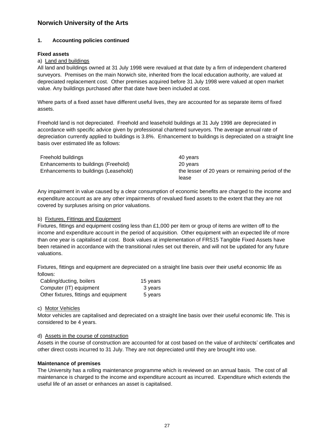#### **1. Accounting policies continued**

#### **Fixed assets**

#### a) Land and buildings

All land and buildings owned at 31 July 1998 were revalued at that date by a firm of independent chartered surveyors. Premises on the main Norwich site, inherited from the local education authority, are valued at depreciated replacement cost. Other premises acquired before 31 July 1998 were valued at open market value. Any buildings purchased after that date have been included at cost.

Where parts of a fixed asset have different useful lives, they are accounted for as separate items of fixed assets.

Freehold land is not depreciated. Freehold and leasehold buildings at 31 July 1998 are depreciated in accordance with specific advice given by professional chartered surveyors. The average annual rate of depreciation currently applied to buildings is 3.8%. Enhancement to buildings is depreciated on a straight line basis over estimated life as follows:

| Freehold buildings                    | 40 years                                          |
|---------------------------------------|---------------------------------------------------|
| Enhancements to buildings (Freehold)  | 20 years                                          |
| Enhancements to buildings (Leasehold) | the lesser of 20 years or remaining period of the |
|                                       | lease                                             |

Any impairment in value caused by a clear consumption of economic benefits are charged to the income and expenditure account as are any other impairments of revalued fixed assets to the extent that they are not covered by surpluses arising on prior valuations.

#### b) Fixtures, Fittings and Equipment

Fixtures, fittings and equipment costing less than £1,000 per item or group of items are written off to the income and expenditure account in the period of acquisition. Other equipment with an expected life of more than one year is capitalised at cost. Book values at implementation of FRS15 Tangible Fixed Assets have been retained in accordance with the transitional rules set out therein, and will not be updated for any future valuations.

Fixtures, fittings and equipment are depreciated on a straight line basis over their useful economic life as follows:

| Cabling/ducting, boilers               | 15 years |
|----------------------------------------|----------|
| Computer (IT) equipment                | 3 years  |
| Other fixtures, fittings and equipment | 5 years  |

#### c) Motor Vehicles

Motor vehicles are capitalised and depreciated on a straight line basis over their useful economic life. This is considered to be 4 years.

#### d) Assets in the course of construction

Assets in the course of construction are accounted for at cost based on the value of architects' certificates and other direct costs incurred to 31 July. They are not depreciated until they are brought into use.

#### **Maintenance of premises**

The University has a rolling maintenance programme which is reviewed on an annual basis. The cost of all maintenance is charged to the income and expenditure account as incurred. Expenditure which extends the useful life of an asset or enhances an asset is capitalised.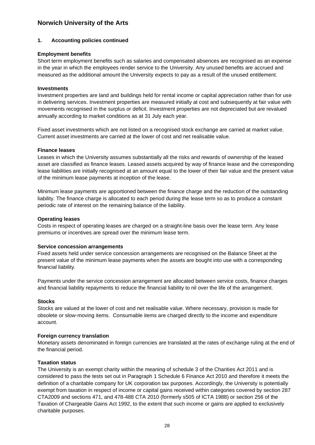#### **1. Accounting policies continued**

#### **Employment benefits**

Short term employment benefits such as salaries and compensated absences are recognised as an expense in the year in which the employees render service to the University. Any unused benefits are accrued and measured as the additional amount the University expects to pay as a result of the unused entitlement.

#### **Investments**

Investment properties are land and buildings held for rental income or capital appreciation rather than for use in delivering services. Investment properties are measured initially at cost and subsequently at fair value with movements recognised in the surplus or deficit. Investment properties are not depreciated but are revalued annually according to market conditions as at 31 July each year.

Fixed asset investments which are not listed on a recognised stock exchange are carried at market value. Current asset investments are carried at the lower of cost and net realisable value.

#### **Finance leases**

Leases in which the University assumes substantially all the risks and rewards of ownership of the leased asset are classified as finance leases. Leased assets acquired by way of finance lease and the corresponding lease liabilities are initially recognised at an amount equal to the lower of their fair value and the present value of the minimum lease payments at inception of the lease.

Minimum lease payments are apportioned between the finance charge and the reduction of the outstanding liability. The finance charge is allocated to each period during the lease term so as to produce a constant periodic rate of interest on the remaining balance of the liability.

#### **Operating leases**

Costs in respect of operating leases are charged on a straight-line basis over the lease term. Any lease premiums or incentives are spread over the minimum lease term.

#### **Service concession arrangements**

Fixed assets held under service concession arrangements are recognised on the Balance Sheet at the present value of the minimum lease payments when the assets are bought into use with a corresponding financial liability.

Payments under the service concession arrangement are allocated between service costs, finance charges and financial liability repayments to reduce the financial liability to nil over the life of the arrangement.

#### **Stocks**

Stocks are valued at the lower of cost and net realisable value. Where necessary, provision is made for obsolete or slow-moving items. Consumable items are charged directly to the income and expenditure account.

#### **Foreign currency translation**

Monetary assets denominated in foreign currencies are translated at the rates of exchange ruling at the end of the financial period.

#### **Taxation status**

The University is an exempt charity within the meaning of schedule 3 of the Charities Act 2011 and is considered to pass the tests set out in Paragraph 1 Schedule 6 Finance Act 2010 and therefore it meets the definition of a charitable company for UK corporation tax purposes. Accordingly, the University is potentially exempt from taxation in respect of income or capital gains received within categories covered by section 287 CTA2009 and sections 471, and 478-488 CTA 2010 (formerly s505 of ICTA 1988) or section 256 of the Taxation of Chargeable Gains Act 1992, to the extent that such income or gains are applied to exclusively charitable purposes.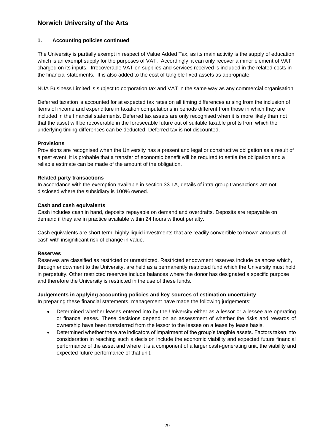#### **1. Accounting policies continued**

The University is partially exempt in respect of Value Added Tax, as its main activity is the supply of education which is an exempt supply for the purposes of VAT. Accordingly, it can only recover a minor element of VAT charged on its inputs. Irrecoverable VAT on supplies and services received is included in the related costs in the financial statements. It is also added to the cost of tangible fixed assets as appropriate.

NUA Business Limited is subject to corporation tax and VAT in the same way as any commercial organisation.

Deferred taxation is accounted for at expected tax rates on all timing differences arising from the inclusion of items of income and expenditure in taxation computations in periods different from those in which they are included in the financial statements. Deferred tax assets are only recognised when it is more likely than not that the asset will be recoverable in the foreseeable future out of suitable taxable profits from which the underlying timing differences can be deducted. Deferred tax is not discounted.

#### **Provisions**

Provisions are recognised when the University has a present and legal or constructive obligation as a result of a past event, it is probable that a transfer of economic benefit will be required to settle the obligation and a reliable estimate can be made of the amount of the obligation.

#### **Related party transactions**

In accordance with the exemption available in section 33.1A, details of intra group transactions are not disclosed where the subsidiary is 100% owned.

#### **Cash and cash equivalents**

Cash includes cash in hand, deposits repayable on demand and overdrafts. Deposits are repayable on demand if they are in practice available within 24 hours without penalty.

Cash equivalents are short term, highly liquid investments that are readily convertible to known amounts of cash with insignificant risk of change in value.

#### **Reserves**

Reserves are classified as restricted or unrestricted. Restricted endowment reserves include balances which, through endowment to the University, are held as a permanently restricted fund which the University must hold in perpetuity. Other restricted reserves include balances where the donor has designated a specific purpose and therefore the University is restricted in the use of these funds.

#### **Judgements in applying accounting policies and key sources of estimation uncertainty**

In preparing these financial statements, management have made the following judgements:

- Determined whether leases entered into by the University either as a lessor or a lessee are operating or finance leases. These decisions depend on an assessment of whether the risks and rewards of ownership have been transferred from the lessor to the lessee on a lease by lease basis.
- • Determined whether there are indicators of impairment of the group's tangible assets. Factors taken into consideration in reaching such a decision include the economic viability and expected future financial performance of the asset and where it is a component of a larger cash-generating unit, the viability and expected future performance of that unit.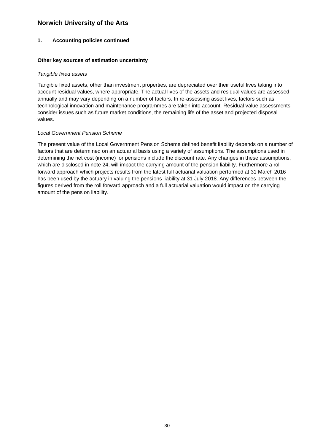#### **1. Accounting policies continued**

#### **Other key sources of estimation uncertainty**

#### *Tangible fixed assets*

Tangible fixed assets, other than investment properties, are depreciated over their useful lives taking into account residual values, where appropriate. The actual lives of the assets and residual values are assessed annually and may vary depending on a number of factors. In re-assessing asset lives, factors such as technological innovation and maintenance programmes are taken into account. Residual value assessments consider issues such as future market conditions, the remaining life of the asset and projected disposal values.

#### *Local Government Pension Scheme*

The present value of the Local Government Pension Scheme defined benefit liability depends on a number of factors that are determined on an actuarial basis using a variety of assumptions. The assumptions used in determining the net cost (income) for pensions include the discount rate. Any changes in these assumptions, which are disclosed in note 24, will impact the carrying amount of the pension liability. Furthermore a roll forward approach which projects results from the latest full actuarial valuation performed at 31 March 2016 has been used by the actuary in valuing the pensions liability at 31 July 2018. Any differences between the figures derived from the roll forward approach and a full actuarial valuation would impact on the carrying amount of the pension liability.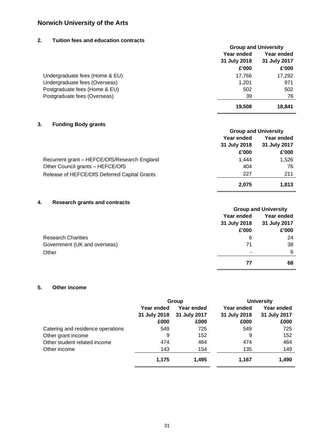### <span id="page-32-0"></span>**2. Tuition fees and education contracts**

|                                | <b>Group and University</b> |              |
|--------------------------------|-----------------------------|--------------|
|                                | Year ended                  | Year ended   |
|                                | 31 July 2018                | 31 July 2017 |
|                                | £'000                       | £'000        |
| Undergraduate fees (Home & EU) | 17,766                      | 17,292       |
| Undergraduate fees (Overseas)  | 1,201                       | 971          |
| Postgraduate fees (Home & EU)  | 502                         | 502          |
| Postgraduate fees (Overseas)   | 39                          | 76           |
|                                | 19,508                      | 18,841       |

### <span id="page-32-1"></span>**3. Funding Body grants**

|                                              | <b>Group and University</b> |              |
|----------------------------------------------|-----------------------------|--------------|
|                                              | Year ended                  | Year ended   |
|                                              | 31 July 2018                | 31 July 2017 |
|                                              | £'000                       | £'000        |
| Recurrent grant - HEFCE/OfS/Research England | 1.444                       | 1,526        |
| Other Council grants - HEFCE/OfS             | 404                         | 76           |
| Release of HEFCE/OfS Deferred Capital Grants | 227                         | 211          |
|                                              | 2,075                       | 1,813        |

#### <span id="page-32-2"></span>**4. Research grants and contracts**

|                              |              | <b>Group and University</b> |  |
|------------------------------|--------------|-----------------------------|--|
|                              | Year ended   | Year ended                  |  |
|                              | 31 July 2018 | 31 July 2017                |  |
|                              | £'000        | £'000                       |  |
| <b>Research Charities</b>    | 6            | 24                          |  |
| Government (UK and overseas) | 71           | 38                          |  |
| Other                        | ۰            | 6                           |  |
|                              |              | 68                          |  |

### <span id="page-32-3"></span>**5. Other income**

|                                   |              | Group        |              | <b>University</b> |
|-----------------------------------|--------------|--------------|--------------|-------------------|
|                                   | Year ended   | Year ended   | Year ended   | Year ended        |
|                                   | 31 July 2018 | 31 July 2017 | 31 July 2018 | 31 July 2017      |
|                                   | £000         | £000         | £000         | £000              |
| Catering and residence operations | 549          | 725          | 549          | 725               |
| Other grant income                | 9            | 152          | 9            | 152               |
| Other student related income      | 474          | 464          | 474          | 464               |
| Other income                      | 143          | 154          | 135          | 149               |
|                                   | 1,175        | 1,495        | 1,167        | 1,490             |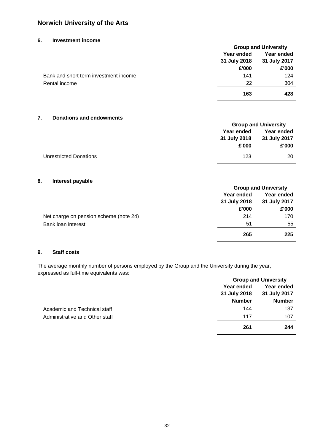#### <span id="page-33-0"></span>**6. Investment income**

|                                       |              | <b>Group and University</b> |  |
|---------------------------------------|--------------|-----------------------------|--|
|                                       | Year ended   | Year ended                  |  |
|                                       | 31 July 2018 | 31 July 2017                |  |
|                                       | £'000        | £'000                       |  |
| Bank and short term investment income | 141          | 124                         |  |
| Rental income                         | 22           | 304                         |  |
|                                       | 163          | 428                         |  |

#### <span id="page-33-1"></span>**7. Donations and endowments**

|                        | <b>Group and University</b> |              |
|------------------------|-----------------------------|--------------|
|                        | Year ended                  | Year ended   |
|                        | 31 July 2018                | 31 July 2017 |
|                        | £'000                       | £'000        |
| Unrestricted Donations | 123                         | 20           |

#### <span id="page-33-3"></span>**8. Interest payable**

|                                        |              | <b>Group and University</b> |  |
|----------------------------------------|--------------|-----------------------------|--|
|                                        | Year ended   | Year ended                  |  |
|                                        | 31 July 2018 | 31 July 2017                |  |
|                                        | £'000        | £'000                       |  |
| Net charge on pension scheme (note 24) | 214          | 170                         |  |
| Bank loan interest                     | 51           | 55                          |  |
|                                        | 265          | 225                         |  |

#### <span id="page-33-2"></span>**9. Staff costs**

The average monthly number of persons employed by the Group and the University during the year, expressed as full-time equivalents was:

|                                |               | <b>Group and University</b> |  |
|--------------------------------|---------------|-----------------------------|--|
|                                | Year ended    | Year ended                  |  |
|                                | 31 July 2018  | 31 July 2017                |  |
|                                | <b>Number</b> | <b>Number</b>               |  |
| Academic and Technical staff   | 144           | 137                         |  |
| Administrative and Other staff | 117           | 107                         |  |
|                                | 261           | 244                         |  |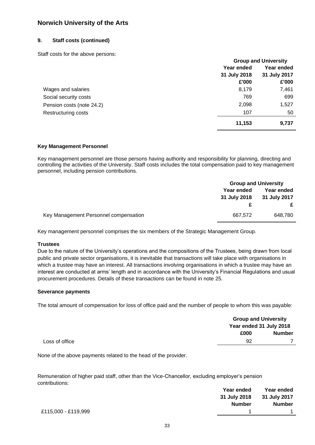#### **9. Staff costs (continued)**

Staff costs for the above persons:

|                            | <b>Group and University</b> |              |
|----------------------------|-----------------------------|--------------|
|                            | Year ended                  | Year ended   |
|                            | 31 July 2018                | 31 July 2017 |
|                            | £'000                       | £'000        |
| Wages and salaries         | 8,179                       | 7,461        |
| Social security costs      | 769                         | 699          |
| Pension costs (note 24.2)  | 2,098                       | 1,527        |
| <b>Restructuring costs</b> | 107                         | 50           |
|                            | 11,153                      | 9,737        |

#### **Key Management Personnel**

Key management personnel are those persons having authority and responsibility for planning, directing and controlling the activities of the University. Staff costs includes the total compensation paid to key management personnel, including pension contributions.

|                                       | <b>Group and University</b>       |                            |
|---------------------------------------|-----------------------------------|----------------------------|
|                                       | <b>Year ended</b><br>31 July 2018 | Year ended<br>31 July 2017 |
|                                       |                                   |                            |
|                                       |                                   |                            |
| Key Management Personnel compensation | 667,572                           | 648,780                    |

Key management personnel comprises the six members of the Strategic Management Group.

#### **Trustees**

 interest are conducted at arms' length and in accordance with the University's Financial Regulations and usual Due to the nature of the University's operations and the compositions of the Trustees, being drawn from local public and private sector organisations, it is inevitable that transactions will take place with organisations in which a trustee may have an interest. All transactions involving organisations in which a trustee may have an procurement procedures. Details of these transactions can be found in note 25.

#### **Severance payments**

The total amount of compensation for loss of office paid and the number of people to whom this was payable:

|                |      | <b>Group and University</b> |  |
|----------------|------|-----------------------------|--|
|                |      | Year ended 31 July 2018     |  |
|                | £000 | <b>Number</b>               |  |
| Loss of office | 92   |                             |  |

None of the above payments related to the head of the provider.

Remuneration of higher paid staff, other than the Vice-Chancellor, excluding employer's pension contributions:

|                     | Year ended    | Year ended    |
|---------------------|---------------|---------------|
|                     | 31 July 2018  | 31 July 2017  |
|                     | <b>Number</b> | <b>Number</b> |
| £115,000 - £119,999 |               |               |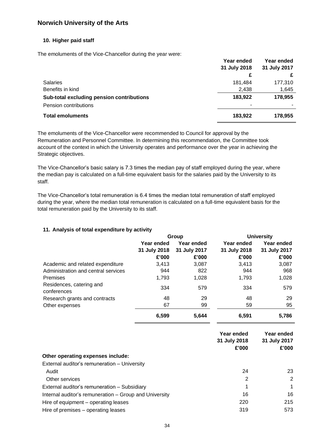#### **10. Higher paid staff**

The emoluments of the Vice-Chancellor during the year were:

|                                           | Year ended   | Year ended   |  |
|-------------------------------------------|--------------|--------------|--|
|                                           | 31 July 2018 | 31 July 2017 |  |
|                                           | £            |              |  |
| <b>Salaries</b>                           | 181,484      | 177,310      |  |
| Benefits in kind                          | 2,438        | 1,645        |  |
| Sub-total excluding pension contributions | 183,922      | 178,955      |  |
| Pension contributions                     |              |              |  |
| <b>Total emoluments</b>                   | 183,922      | 178,955      |  |

The emoluments of the Vice-Chancellor were recommended to Council for approval by the Remuneration and Personnel Committee. In determining this recommendation, the Committee took account of the context in which the University operates and performance over the year in achieving the Strategic objectives.

The Vice-Chancellor's basic salary is 7.3 times the median pay of staff employed during the year, where the median pay is calculated on a full-time equivalent basis for the salaries paid by the University to its staff.

The Vice-Chancellor's total remuneration is 6.4 times the median total remuneration of staff employed during the year, where the median total remuneration is calculated on a full-time equivalent basis for the total remuneration paid by the University to its staff.

#### <span id="page-35-0"></span>**11. Analysis of total expenditure by activity**

|                                         | Group        |              |              | <b>University</b> |  |
|-----------------------------------------|--------------|--------------|--------------|-------------------|--|
|                                         | Year ended   | Year ended   | Year ended   | Year ended        |  |
|                                         | 31 July 2018 | 31 July 2017 | 31 July 2018 | 31 July 2017      |  |
|                                         | £'000        | £'000        | £'000        | £'000             |  |
| Academic and related expenditure        | 3,413        | 3,087        | 3,413        | 3,087             |  |
| Administration and central services     | 944          | 822          | 944          | 968               |  |
| Premises                                | 1,793        | 1,028        | 1,793        | 1,028             |  |
| Residences, catering and<br>conferences | 334          | 579          | 334          | 579               |  |
| Research grants and contracts           | 48           | 29           | 48           | 29                |  |
| Other expenses                          | 67           | 99           | 59           | 95                |  |
|                                         | 6,599        | 5,644        | 6,591        | 5,786             |  |

|                                                        | Year ended<br>31 July 2018<br>£'000 | Year ended<br>31 July 2017<br>£'000 |
|--------------------------------------------------------|-------------------------------------|-------------------------------------|
| Other operating expenses include:                      |                                     |                                     |
| External auditor's remuneration - University           |                                     |                                     |
| Audit                                                  | 24                                  | 23                                  |
| Other services                                         | 2                                   | 2                                   |
| External auditor's remuneration - Subsidiary           | 1                                   |                                     |
| Internal auditor's remuneration - Group and University | 16                                  | 16                                  |
| Hire of equipment – operating leases                   | 220                                 | 215                                 |
| Hire of premises - operating leases                    | 319                                 | 573                                 |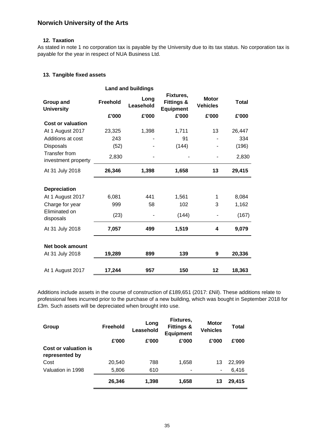#### <span id="page-36-1"></span>**12. Taxation**

As stated in note [1](#page-26-1) no corporation tax is payable by the University due to its tax status. No corporation tax is payable for the year in respect of NUA Business Ltd.

#### <span id="page-36-0"></span>**13. Tangible fixed assets**

|                                             |          | <b>Land and buildings</b> |                                                 |                                 |              |
|---------------------------------------------|----------|---------------------------|-------------------------------------------------|---------------------------------|--------------|
| Group and<br><b>University</b>              | Freehold | Long<br>Leasehold         | Fixtures,<br><b>Fittings &amp;</b><br>Equipment | <b>Motor</b><br><b>Vehicles</b> | <b>Total</b> |
|                                             | £'000    | £'000                     | £'000                                           | £'000                           | £'000        |
| <b>Cost or valuation</b>                    |          |                           |                                                 |                                 |              |
| At 1 August 2017                            | 23,325   | 1,398                     | 1,711                                           | 13                              | 26,447       |
| Additions at cost                           | 243      |                           | 91                                              |                                 | 334          |
| <b>Disposals</b>                            | (52)     |                           | (144)                                           |                                 | (196)        |
| <b>Transfer from</b><br>investment property | 2,830    |                           |                                                 |                                 | 2,830        |
| At 31 July 2018                             | 26,346   | 1,398                     | 1,658                                           | 13                              | 29,415       |
| <b>Depreciation</b>                         |          |                           |                                                 |                                 |              |
| At 1 August 2017                            | 6,081    | 441                       | 1,561                                           | 1                               | 8,084        |
| Charge for year                             | 999      | 58                        | 102                                             | 3                               | 1,162        |
| Eliminated on<br>disposals                  | (23)     |                           | (144)                                           |                                 | (167)        |
| At 31 July 2018                             | 7,057    | 499                       | 1,519                                           | 4                               | 9,079        |
| Net book amount                             |          |                           |                                                 |                                 |              |
| At 31 July 2018                             | 19,289   | 899                       | 139                                             | 9                               | 20,336       |
| At 1 August 2017                            | 17,244   | 957                       | 150                                             | 12                              | 18,363       |

Additions include assets in the course of construction of £189,651 (2017: £Nil). These additions relate to professional fees incurred prior to the purchase of a new building, which was bought in September 2018 for £3m. Such assets will be depreciated when brought into use.

| Group                                  | <b>Freehold</b> | Long<br>Leasehold | Fixtures,<br><b>Fittings &amp;</b><br><b>Equipment</b> | <b>Motor</b><br><b>Vehicles</b> | Total  |
|----------------------------------------|-----------------|-------------------|--------------------------------------------------------|---------------------------------|--------|
|                                        | £'000           | £'000             | £'000                                                  | £'000                           | £'000  |
| Cost or valuation is<br>represented by |                 |                   |                                                        |                                 |        |
| Cost                                   | 20,540          | 788               | 1,658                                                  | 13                              | 22,999 |
| Valuation in 1998                      | 5,806           | 610               | -                                                      | ۰                               | 6,416  |
|                                        | 26,346          | 1,398             | 1,658                                                  | 13                              | 29,415 |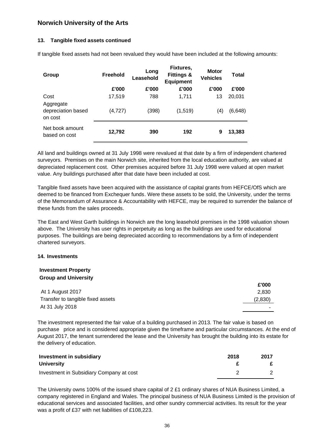#### **13. Tangible fixed assets continued**

| Group                            | <b>Freehold</b> | Long<br>Leasehold | Fixtures,<br><b>Fittings &amp;</b><br><b>Equipment</b> | <b>Motor</b><br><b>Vehicles</b> | <b>Total</b> |
|----------------------------------|-----------------|-------------------|--------------------------------------------------------|---------------------------------|--------------|
|                                  | £'000           | £'000             | £'000                                                  | £'000                           | £'000        |
| Cost<br>Aggregate                | 17,519          | 788               | 1,711                                                  | 13                              | 20,031       |
| depreciation based<br>on cost    | (4,727)         | (398)             | (1, 519)                                               | (4)                             | (6, 648)     |
| Net book amount<br>based on cost | 12,792          | 390               | 192                                                    | 9                               | 13,383       |

If tangible fixed assets had not been revalued they would have been included at the following amounts:

All land and buildings owned at 31 July 1998 were revalued at that date by a firm of independent chartered surveyors. Premises on the main Norwich site, inherited from the local education authority, are valued at depreciated replacement cost. Other premises acquired before 31 July 1998 were valued at open market value. Any buildings purchased after that date have been included at cost.

Tangible fixed assets have been acquired with the assistance of capital grants from HEFCE/OfS which are deemed to be financed from Exchequer funds. Were these assets to be sold, the University, under the terms of the Memorandum of Assurance & Accountability with HEFCE, may be required to surrender the balance of these funds from the sales proceeds.

The East and West Garth buildings in Norwich are the long leasehold premises in the 1998 valuation shown above. The University has user rights in perpetuity as long as the buildings are used for educational purposes. The buildings are being depreciated according to recommendations by a firm of independent chartered surveyors.

#### <span id="page-37-0"></span>**14. Investments**

### **Investment Property Group and University**

|                                   | £'000   |
|-----------------------------------|---------|
| At 1 August 2017                  | 2.830   |
| Transfer to tangible fixed assets | (2,830) |
| At 31 July 2018                   |         |
|                                   |         |

The investment represented the fair value of a building purchased in 2013. The fair value is based on purchase price and is considered appropriate given the timeframe and particular circumstances. At the end of August 2017, the tenant surrendered the lease and the University has brought the building into its estate for the delivery of education.

| Investment in subsidiary                 | 2018 | 2017 |
|------------------------------------------|------|------|
| University                               |      |      |
| Investment in Subsidiary Company at cost |      |      |

The University owns 100% of the issued share capital of 2 £1 ordinary shares of NUA Business Limited, a company registered in England and Wales. The principal business of NUA Business Limited is the provision of educational services and associated facilities, and other sundry commercial activities. Its result for the year was a profit of £37 with net liabilities of £108,223.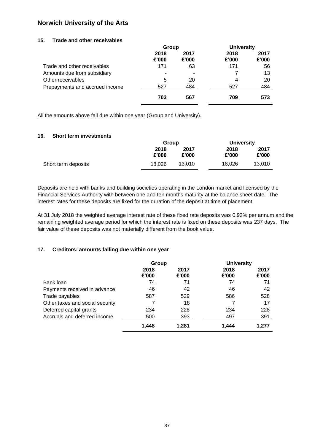#### <span id="page-38-0"></span>**15. Trade and other receivables**

|                                | Group         |               |               | <b>University</b> |
|--------------------------------|---------------|---------------|---------------|-------------------|
|                                | 2018<br>£'000 | 2017<br>£'000 | 2018<br>£'000 | 2017<br>£'000     |
| Trade and other receivables    | 171           | 63            | 171           | 56                |
| Amounts due from subsidiary    |               |               |               | 13                |
| Other receivables              | 5             | 20            | 4             | 20                |
| Prepayments and accrued income | 527           | 484           | 527           | 484               |
|                                | 703           | 567           | 709           | 573               |

All the amounts above fall due within one year (Group and University).

#### <span id="page-38-1"></span>**16. Short term investments**

|                     | Group         |               |               | <b>University</b> |  |
|---------------------|---------------|---------------|---------------|-------------------|--|
|                     | 2018<br>£'000 | 2017<br>£'000 | 2018<br>£'000 | 2017<br>£'000     |  |
| Short term deposits | 18.026        | 13.010        | 18.026        | 13.010            |  |

Deposits are held with banks and building societies operating in the London market and licensed by the Financial Services Authority with between one and ten months maturity at the balance sheet date. The interest rates for these deposits are fixed for the duration of the deposit at time of placement.

At 31 July 2018 the weighted average interest rate of these fixed rate deposits was 0.92% per annum and the remaining weighted average period for which the interest rate is fixed on these deposits was 237 days. The fair value of these deposits was not materially different from the book value.

#### <span id="page-38-2"></span>**17. Creditors: amounts falling due within one year**

|                                 | Group         |               | <b>University</b> |               |
|---------------------------------|---------------|---------------|-------------------|---------------|
|                                 | 2018<br>£'000 | 2017<br>£'000 | 2018<br>£'000     | 2017<br>£'000 |
| Bank loan                       | 74            | 71            | 74                | 71            |
| Payments received in advance    | 46            | 42            | 46                | 42            |
| Trade payables                  | 587           | 529           | 586               | 528           |
| Other taxes and social security |               | 18            |                   | 17            |
| Deferred capital grants         | 234           | 228           | 234               | 228           |
| Accruals and deferred income    | 500           | 393           | 497               | 391           |
|                                 | 1,448         | 1,281         | 1,444             | 1.277         |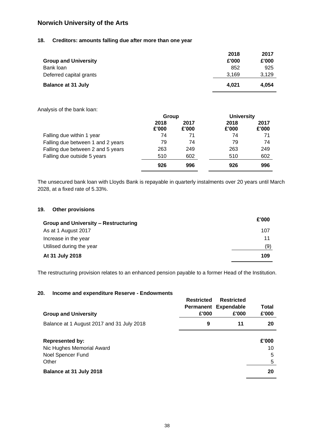#### <span id="page-39-0"></span>**18. Creditors: amounts falling due after more than one year**

|                             | 2018  | 2017  |
|-----------------------------|-------|-------|
| <b>Group and University</b> | £'000 | £'000 |
| Bank loan                   | 852   | 925   |
| Deferred capital grants     | 3.169 | 3.129 |
| <b>Balance at 31 July</b>   | 4.021 | 4.054 |

Analysis of the bank loan:

|                                   | Group         |               | <b>University</b> |               |
|-----------------------------------|---------------|---------------|-------------------|---------------|
|                                   | 2018<br>£'000 | 2017<br>£'000 | 2018<br>£'000     | 2017<br>£'000 |
| Falling due within 1 year         | 74            | 71            | 74                | 71            |
| Falling due between 1 and 2 years | 79            | 74            | 79                | 74            |
| Falling due between 2 and 5 years | 263           | 249           | 263               | 249           |
| Falling due outside 5 years       | 510           | 602           | 510               | 602           |
|                                   | 926           | 996           | 926               | 996           |

The unsecured bank loan with Lloyds Bank is repayable in quarterly instalments over 20 years until March 2028, at a fixed rate of 5.33%.

#### <span id="page-39-1"></span>**19. Other provisions**

| Group and University - Restructuring | £'000 |
|--------------------------------------|-------|
| As at 1 August 2017                  | 107   |
| Increase in the year                 | 11    |
| Utilised during the year             | (9)   |
| At 31 July 2018                      | 109   |

The restructuring provision relates to an enhanced pension payable to a former Head of the Institution.

#### <span id="page-39-2"></span>**20. Income and expenditure Reserve - Endowments**

| <b>Group and University</b>                                                       | <b>Restricted</b><br>£'000 | <b>Restricted</b><br>Permanent Expendable<br>£'000 | <b>Total</b><br>£'000 |
|-----------------------------------------------------------------------------------|----------------------------|----------------------------------------------------|-----------------------|
| Balance at 1 August 2017 and 31 July 2018                                         | 9                          | 11                                                 | 20                    |
| <b>Represented by:</b><br>Nic Hughes Memorial Award<br>Noel Spencer Fund<br>Other |                            |                                                    | £'000<br>10<br>5<br>5 |
| Balance at 31 July 2018                                                           |                            |                                                    | 20                    |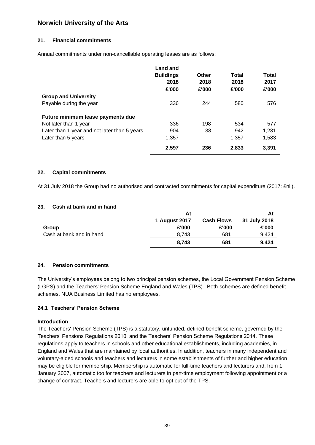#### **21. Financial commitments**

Annual commitments under non-cancellable operating leases are as follows:

|                                              | Land and<br><b>Buildings</b><br>2018<br>£'000 | Other<br>2018<br>£'000 | <b>Total</b><br>2018<br>£'000 | Total<br>2017<br>£'000 |
|----------------------------------------------|-----------------------------------------------|------------------------|-------------------------------|------------------------|
| <b>Group and University</b>                  |                                               |                        |                               |                        |
| Payable during the year                      | 336                                           | 244                    | 580                           | 576                    |
| Future minimum lease payments due            |                                               |                        |                               |                        |
| Not later than 1 year                        | 336                                           | 198                    | 534                           | 577                    |
| Later than 1 year and not later than 5 years | 904                                           | 38                     | 942                           | 1,231                  |
| Later than 5 years                           | 1,357                                         | ۰                      | 1,357                         | 1,583                  |
|                                              | 2,597                                         | 236                    | 2,833                         | 3,391                  |

#### **22. Capital commitments**

At 31 July 2018 the Group had no authorised and contracted commitments for capital expenditure (2017: £nil).

#### <span id="page-40-0"></span>**23. Cash at bank and in hand**

|                          | At            |                   |              |  | At |
|--------------------------|---------------|-------------------|--------------|--|----|
|                          | 1 August 2017 | <b>Cash Flows</b> | 31 July 2018 |  |    |
| Group                    | £'000         | £'000             | £'000        |  |    |
| Cash at bank and in hand | 8.743         | 681               | 9.424        |  |    |
|                          | 8.743         | 681               | 9.424        |  |    |

#### <span id="page-40-1"></span>**24. Pension commitments**

The University's employees belong to two principal pension schemes, the Local Government Pension Scheme (LGPS) and the Teachers' Pension Scheme England and Wales (TPS). Both schemes are defined benefit schemes. NUA Business Limited has no employees.

#### <span id="page-40-2"></span>**24.1 Teachers' Pension Scheme**

#### **Introduction**

The Teachers' Pension Scheme (TPS) is a statutory, unfunded, defined benefit scheme, governed by the Teachers' Pensions Regulations 2010, and the Teachers' Pension Scheme Regulations 2014. These regulations apply to teachers in schools and other educational establishments, including academies, in England and Wales that are maintained by local authorities. In addition, teachers in many independent and voluntary-aided schools and teachers and lecturers in some establishments of further and higher education may be eligible for membership. Membership is automatic for full-time teachers and lecturers and, from 1 January 2007, automatic too for teachers and lecturers in part-time employment following appointment or a change of contract. Teachers and lecturers are able to opt out of the TPS.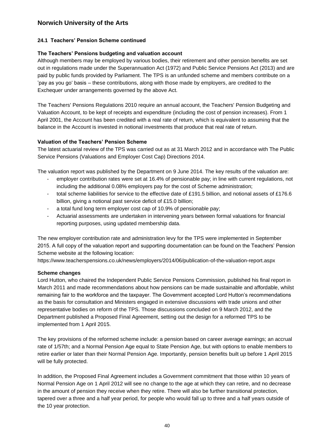#### **[24.1](#page-40-2) Teachers' Pension Scheme continued**

#### **The Teachers' Pensions budgeting and valuation account**

Although members may be employed by various bodies, their retirement and other pension benefits are set out in regulations made under the Superannuation Act (1972) and Public Service Pensions Act (2013) and are paid by public funds provided by Parliament. The TPS is an unfunded scheme and members contribute on a 'pay as you go' basis – these contributions, along with those made by employers, are credited to the Exchequer under arrangements governed by the above Act.

The Teachers' Pensions Regulations 2010 require an annual account, the Teachers' Pension Budgeting and Valuation Account, to be kept of receipts and expenditure (including the cost of pension increases). From 1 April 2001, the Account has been credited with a real rate of return, which is equivalent to assuming that the balance in the Account is invested in notional investments that produce that real rate of return.

#### **Valuation of the Teachers' Pension Scheme**

The latest actuarial review of the TPS was carried out as at 31 March 2012 and in accordance with The Public Service Pensions (Valuations and Employer Cost Cap) Directions 2014.

The valuation report was published by the Department on 9 June 2014. The key results of the valuation are:

- employer contribution rates were set at 16.4% of pensionable pay; in line with current regulations, not including the additional 0.08% employers pay for the cost of Scheme administration;
- total scheme liabilities for service to the effective date of £191.5 billion, and notional assets of £176.6 billion, giving a notional past service deficit of £15.0 billion;
- a total fund long term employer cost cap of 10.9% of pensionable pay;
- Actuarial assessments are undertaken in intervening years between formal valuations for financial reporting purposes, using updated membership data.

The new employer contribution rate and administration levy for the TPS were implemented in September 2015. A full copy of the valuation report and supporting documentation can be found on the Teachers' Pension Scheme website at the following location:

<https://www.teacherspensions.co.uk/news/employers/2014/06/publication-of-the-valuation-report.aspx>

#### **Scheme changes**

Lord Hutton, who chaired the Independent Public Service Pensions Commission, published his final report in March 2011 and made recommendations about how pensions can be made sustainable and affordable, whilst remaining fair to the workforce and the taxpayer. The Government accepted Lord Hutton's recommendations as the basis for consultation and Ministers engaged in extensive discussions with trade unions and other representative bodies on reform of the TPS. Those discussions concluded on 9 March 2012, and the Department published a Proposed Final Agreement, setting out the design for a reformed TPS to be implemented from 1 April 2015.

The key provisions of the reformed scheme include: a pension based on career average earnings; an accrual rate of 1/57th; and a Normal Pension Age equal to State Pension Age, but with options to enable members to retire earlier or later than their Normal Pension Age. Importantly, pension benefits built up before 1 April 2015 will be fully protected.

In addition, the Proposed Final Agreement includes a Government commitment that those within 10 years of Normal Pension Age on 1 April 2012 will see no change to the age at which they can retire, and no decrease in the amount of pension they receive when they retire. There will also be further transitional protection, tapered over a three and a half year period, for people who would fall up to three and a half years outside of the 10 year protection.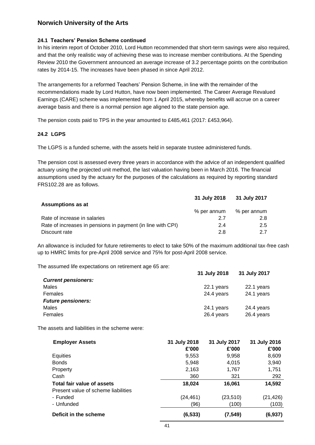#### **[24.1](#page-40-2) Teachers' Pension Scheme continued**

In his interim report of October 2010, Lord Hutton recommended that short-term savings were also required, and that the only realistic way of achieving these was to increase member contributions. At the Spending Review 2010 the Government announced an average increase of 3.2 percentage points on the contribution rates by 2014-15. The increases have been phased in since April 2012.

The arrangements for a reformed Teachers' Pension Scheme, in line with the remainder of the recommendations made by Lord Hutton, have now been implemented. The Career Average Revalued Earnings (CARE) scheme was implemented from 1 April 2015, whereby benefits will accrue on a career average basis and there is a normal pension age aligned to the state pension age.

The pension costs paid to TPS in the year amounted to £485,461 (2017: £453,964).

#### <span id="page-42-0"></span>**24.2 LGPS**

The LGPS is a funded scheme, with the assets held in separate trustee administered funds.

The pension cost is assessed every three years in accordance with the advice of an independent qualified actuary using the projected unit method, the last valuation having been in March 2016. The financial assumptions used by the actuary for the purposes of the calculations as required by reporting standard [FRS102.28](https://FRS102.28) are as follows.

| <b>Assumptions as at</b>                                    | 31 July 2018 | 31 July 2017 |
|-------------------------------------------------------------|--------------|--------------|
|                                                             | % per annum  | % per annum  |
| Rate of increase in salaries                                | 27           | 2.8          |
| Rate of increases in pensions in payment (in line with CPI) | 2.4          | 2.5          |
| Discount rate                                               | 2 8          | 27           |

An allowance is included for future retirements to elect to take 50% of the maximum additional tax-free cash up to HMRC limits for pre-April 2008 service and 75% for post-April 2008 service.

The assumed life expectations on retirement age 65 are:

|                            | 31 July 2018 | 31 July 2017 |
|----------------------------|--------------|--------------|
| <b>Current pensioners:</b> |              |              |
| Males                      | 22.1 years   | 22.1 years   |
| Females                    | 24.4 years   | 24.1 years   |
| <b>Future pensioners:</b>  |              |              |
| Males                      | 24.1 years   | 24.4 years   |
| Females                    | 26.4 years   | 26.4 years   |
|                            |              |              |

The assets and liabilities in the scheme were:

| <b>Employer Assets</b>              | 31 July 2018 | 31 July 2017 | 31 July 2016 |
|-------------------------------------|--------------|--------------|--------------|
|                                     | £'000        | £'000        | £'000        |
| Equities                            | 9,553        | 9,958        | 8,609        |
| <b>Bonds</b>                        | 5.948        | 4,015        | 3,940        |
| Property                            | 2,163        | 1,767        | 1,751        |
| Cash                                | 360          | 321          | 292          |
| Total fair value of assets          | 18,024       | 16,061       | 14,592       |
| Present value of scheme liabilities |              |              |              |
| - Funded                            | (24, 461)    | (23, 510)    | (21, 426)    |
| - Unfunded                          | (96)         | (100)        | (103)        |
| Deficit in the scheme               | (6, 533)     | (7, 549)     | (6,937)      |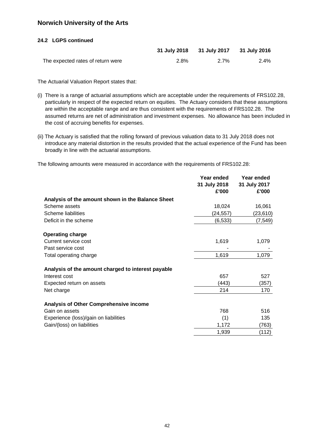#### **[24.2](#page-42-0) LGPS continued**

|                                   |      | 31 July 2018 31 July 2017 31 July 2016 |      |
|-----------------------------------|------|----------------------------------------|------|
| The expected rates of return were | 2.8% | $2.7\%$                                | 2.4% |

The Actuarial Valuation Report states that:

- (i) There is a range of actuarial assumptions which are acceptable under the requirements of [FRS102.28](https://FRS102.28), particularly in respect of the expected return on equities. The Actuary considers that these assumptions are within the acceptable range and are thus consistent with the requirements of [FRS102.28](https://FRS102.28). The assumed returns are net of administration and investment expenses. No allowance has been included in the cost of accruing benefits for expenses.
- (ii) The Actuary is satisfied that the rolling forward of previous valuation data to 31 July 2018 does not introduce any material distortion in the results provided that the actual experience of the Fund has been broadly in line with the actuarial assumptions.

The following amounts were measured in accordance with the requirements of [FRS102.28](https://FRS102.28):

|                                                    | Year ended<br>31 July 2018<br>£'000 | Year ended<br>31 July 2017<br>£'000 |
|----------------------------------------------------|-------------------------------------|-------------------------------------|
| Analysis of the amount shown in the Balance Sheet  |                                     |                                     |
| Scheme assets                                      | 18,024                              | 16,061                              |
| Scheme liabilities                                 | (24, 557)                           | (23,610)                            |
| Deficit in the scheme                              | (6, 533)                            | (7, 549)                            |
| <b>Operating charge</b>                            |                                     |                                     |
| Current service cost                               | 1,619                               | 1,079                               |
| Past service cost                                  |                                     |                                     |
| Total operating charge                             | 1,619                               | 1,079                               |
| Analysis of the amount charged to interest payable |                                     |                                     |
| Interest cost                                      | 657                                 | 527                                 |
| Expected return on assets                          | (443)                               | (357)                               |
| Net charge                                         | 214                                 | 170                                 |
| <b>Analysis of Other Comprehensive income</b>      |                                     |                                     |
| Gain on assets                                     | 768                                 | 516                                 |
| Experience (loss)/gain on liabilities              | (1)                                 | 135                                 |
| Gain/(loss) on liabilities                         | 1,172                               | (763)                               |
|                                                    | 1,939                               | (112)                               |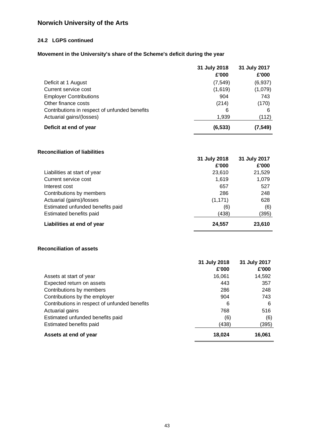### **[24.2](#page-42-0) LGPS continued**

## **Movement in the University's share of the Scheme's deficit during the year**

|                                               | 31 July 2018<br>£'000 | 31 July 2017<br>£'000 |
|-----------------------------------------------|-----------------------|-----------------------|
| Deficit at 1 August                           | (7, 549)              | (6,937)               |
| Current service cost                          | (1,619)               | (1,079)               |
| <b>Employer Contributions</b>                 | 904                   | 743                   |
| Other finance costs                           | (214)                 | (170)                 |
| Contributions in respect of unfunded benefits | 6                     | 6                     |
| Actuarial gains/(losses)                      | 1,939                 | (112)                 |
| Deficit at end of year                        | (6, 533)              | (7,549)               |

#### **Reconciliation of liabilities**

|                                  | 31 July 2018<br>£'000 | 31 July 2017<br>£'000 |
|----------------------------------|-----------------------|-----------------------|
| Liabilities at start of year     | 23.610                | 21,529                |
| Current service cost             | 1,619                 | 1,079                 |
| Interest cost                    | 657                   | 527                   |
| Contributions by members         | 286                   | 248                   |
| Actuarial (gains)/losses         | (1, 171)              | 628                   |
| Estimated unfunded benefits paid | (6)                   | (6)                   |
| Estimated benefits paid          | (438)                 | (395)                 |
| Liabilities at end of year       | 24,557                | 23,610                |

#### **Reconciliation of assets**

|                                               | 31 July 2018 | 31 July 2017 |
|-----------------------------------------------|--------------|--------------|
|                                               | £'000        | £'000        |
| Assets at start of year                       | 16,061       | 14,592       |
| Expected return on assets                     | 443          | 357          |
| Contributions by members                      | 286          | 248          |
| Contributions by the employer                 | 904          | 743          |
| Contributions in respect of unfunded benefits | 6            | 6            |
| Actuarial gains                               | 768          | 516          |
| Estimated unfunded benefits paid              | (6)          | (6)          |
| Estimated benefits paid                       | (438)        | (395)        |
| Assets at end of year                         | 18.024       | 16,061       |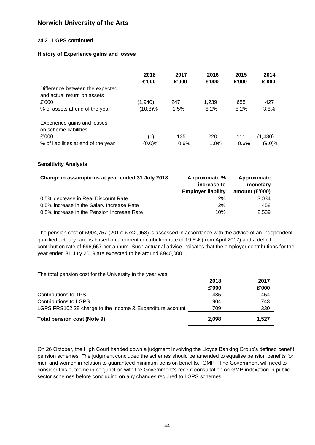#### **[24.2](#page-42-0) LGPS continued**

#### **History of Experience gains and losses**

|                                                                | 2018<br>£'000 | 2017<br>£'000 | 2016<br>£'000 | 2015<br>£'000 | 2014<br>£'000 |
|----------------------------------------------------------------|---------------|---------------|---------------|---------------|---------------|
| Difference between the expected<br>and actual return on assets |               |               |               |               |               |
| £'000                                                          | (1,940)       | 247           | 1,239         | 655           | 427           |
| % of assets at end of the year                                 | (10.8)%       | 1.5%          | 8.2%          | 5.2%          | 3.8%          |
| Experience gains and losses                                    |               |               |               |               |               |
| on scheme liabilities                                          |               |               |               |               |               |
| £'000                                                          | (1)           | 135           | 220           | 111           | (1,430)       |
| % of liabilities at end of the year                            | (0.0)%        | 0.6%          | 1.0%          | 0.6%          | $(9.0)\%$     |

#### **Sensitivity Analysis**

| Change in assumptions at year ended 31 July 2018 | Approximate %<br>increase to<br><b>Employer liability</b> | Approximate<br>monetary<br>amount $(E'000)$ |
|--------------------------------------------------|-----------------------------------------------------------|---------------------------------------------|
| 0.5% decrease in Real Discount Rate              | 12%                                                       | 3.034                                       |
| 0.5% increase in the Salary Increase Rate        | 2%                                                        | 458                                         |
| 0.5% increase in the Pension Increase Rate       | 10%                                                       | 2,539                                       |

The pension cost of £904,757 (2017: £742,953) is assessed in accordance with the advice of an independent qualified actuary, and is based on a current contribution rate of 19.5% (from April 2017) and a deficit contribution rate of £96,667 per annum. Such actuarial advice indicates that the employer contributions for the year ended 31 July 2019 are expected to be around £940,000.

The total pension cost for the University in the year was:

| Total pension cost (Note 9)                               | 2.098 | 1.527 |
|-----------------------------------------------------------|-------|-------|
| LGPS FRS102.28 charge to the Income & Expenditure account | 709   | 330   |
| Contributions to LGPS                                     | 904   | 743   |
| Contributions to TPS                                      | 485   | 454   |
|                                                           | £'000 | £'000 |
|                                                           | 2018  | 2017  |

On 26 October, the High Court handed down a judgment involving the Lloyds Banking Group's defined benefit pension schemes. The judgment concluded the schemes should be amended to equalise pension benefits for men and women in relation to guaranteed minimum pension benefits, "GMP". The Government will need to consider this outcome in conjunction with the Government's recent consultation on GMP indexation in public sector schemes before concluding on any changes required to LGPS schemes.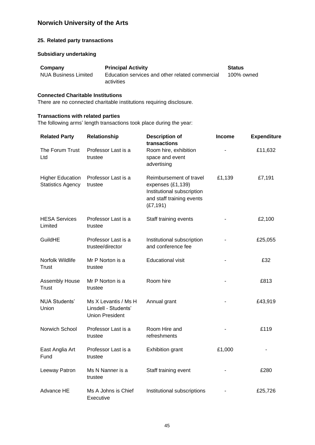#### **25. Related party transactions**

#### **Subsidiary undertaking**

| Company              | <b>Principal Activity</b>                       | <b>Status</b> |
|----------------------|-------------------------------------------------|---------------|
| NUA Business Limited | Education services and other related commercial | 100% owned    |
|                      | activities                                      |               |

#### **Connected Charitable Institutions**

There are no connected charitable institutions requiring disclosure.

#### **Transactions with related parties**

The following arms' length transactions took place during the year:

| <b>Related Party</b>                                | Relationship                                                           | <b>Description of</b><br>transactions                                                                                | <b>Income</b> | <b>Expenditure</b> |
|-----------------------------------------------------|------------------------------------------------------------------------|----------------------------------------------------------------------------------------------------------------------|---------------|--------------------|
| The Forum Trust<br>Ltd                              | Professor Last is a<br>trustee                                         | Room hire, exhibition<br>space and event<br>advertising                                                              |               | £11,632            |
| <b>Higher Education</b><br><b>Statistics Agency</b> | Professor Last is a<br>trustee                                         | Reimbursement of travel<br>expenses (£1,139)<br>Institutional subscription<br>and staff training events<br>(E7, 191) | £1,139        | £7,191             |
| <b>HESA Services</b><br>Limited                     | Professor Last is a<br>trustee                                         | Staff training events                                                                                                |               | £2,100             |
| GuildHE                                             | Professor Last is a<br>trustee/director                                | Institutional subscription<br>and conference fee                                                                     |               | £25,055            |
| Norfolk Wildlife<br>Trust                           | Mr P Norton is a<br>trustee                                            | <b>Educational visit</b>                                                                                             |               | £32                |
| <b>Assembly House</b><br><b>Trust</b>               | Mr P Norton is a<br>trustee                                            | Room hire                                                                                                            |               | £813               |
| <b>NUA Students'</b><br>Union                       | Ms X Levantis / Ms H<br>Linsdell - Students'<br><b>Union President</b> | Annual grant                                                                                                         |               | £43,919            |
| Norwich School                                      | Professor Last is a<br>trustee                                         | Room Hire and<br>refreshments                                                                                        |               | £119               |
| East Anglia Art<br>Fund                             | Professor Last is a<br>trustee                                         | <b>Exhibition grant</b>                                                                                              | £1,000        |                    |
| Leeway Patron                                       | Ms N Nanner is a<br>trustee                                            | Staff training event                                                                                                 |               | £280               |
| Advance HE                                          | Ms A Johns is Chief<br>Executive                                       | Institutional subscriptions                                                                                          |               | £25,726            |